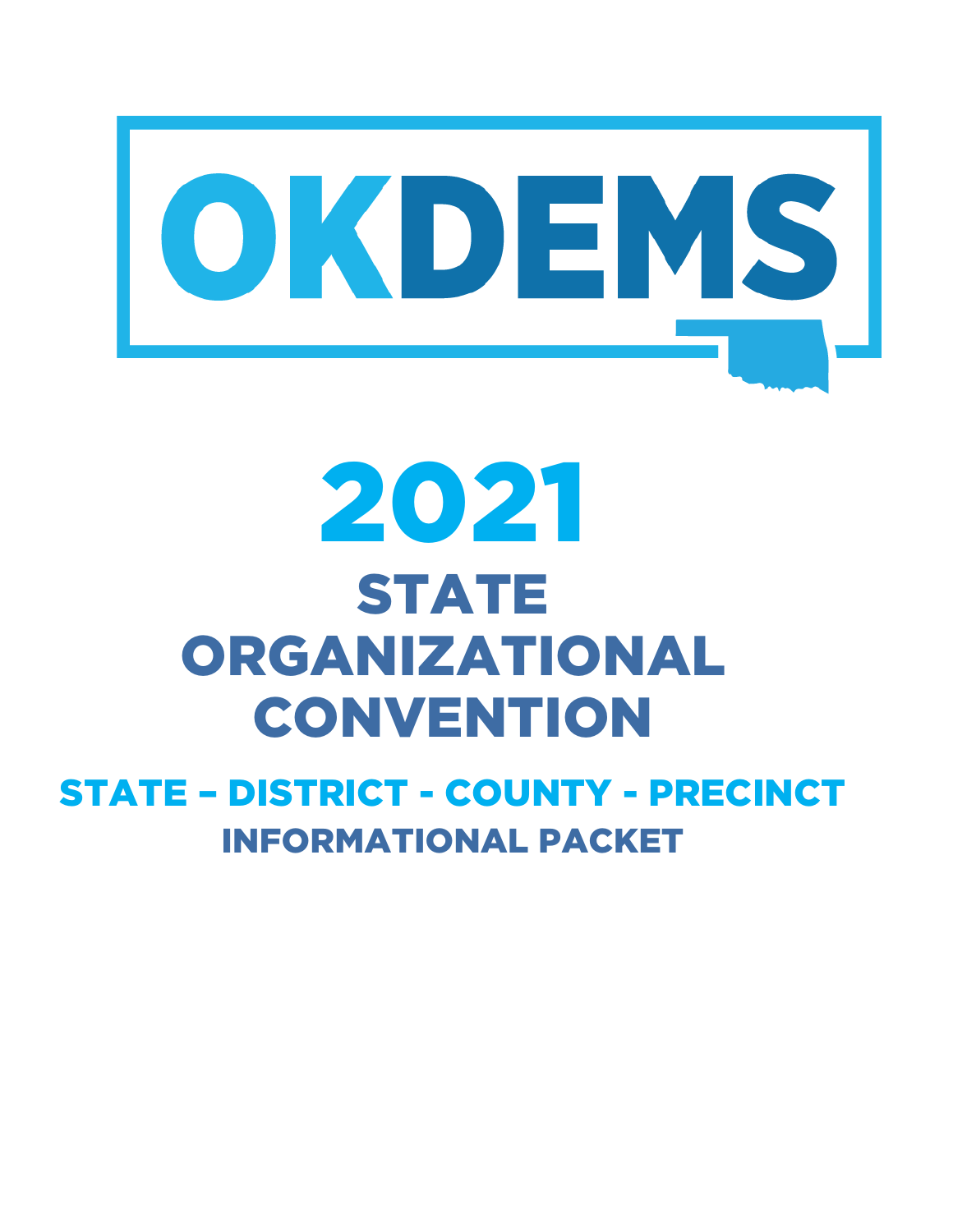

# 2021 STATE ORGANIZATIONAL **CONVENTION**

## STATE – DISTRICT - COUNTY - PRECINCT INFORMATIONAL PACKET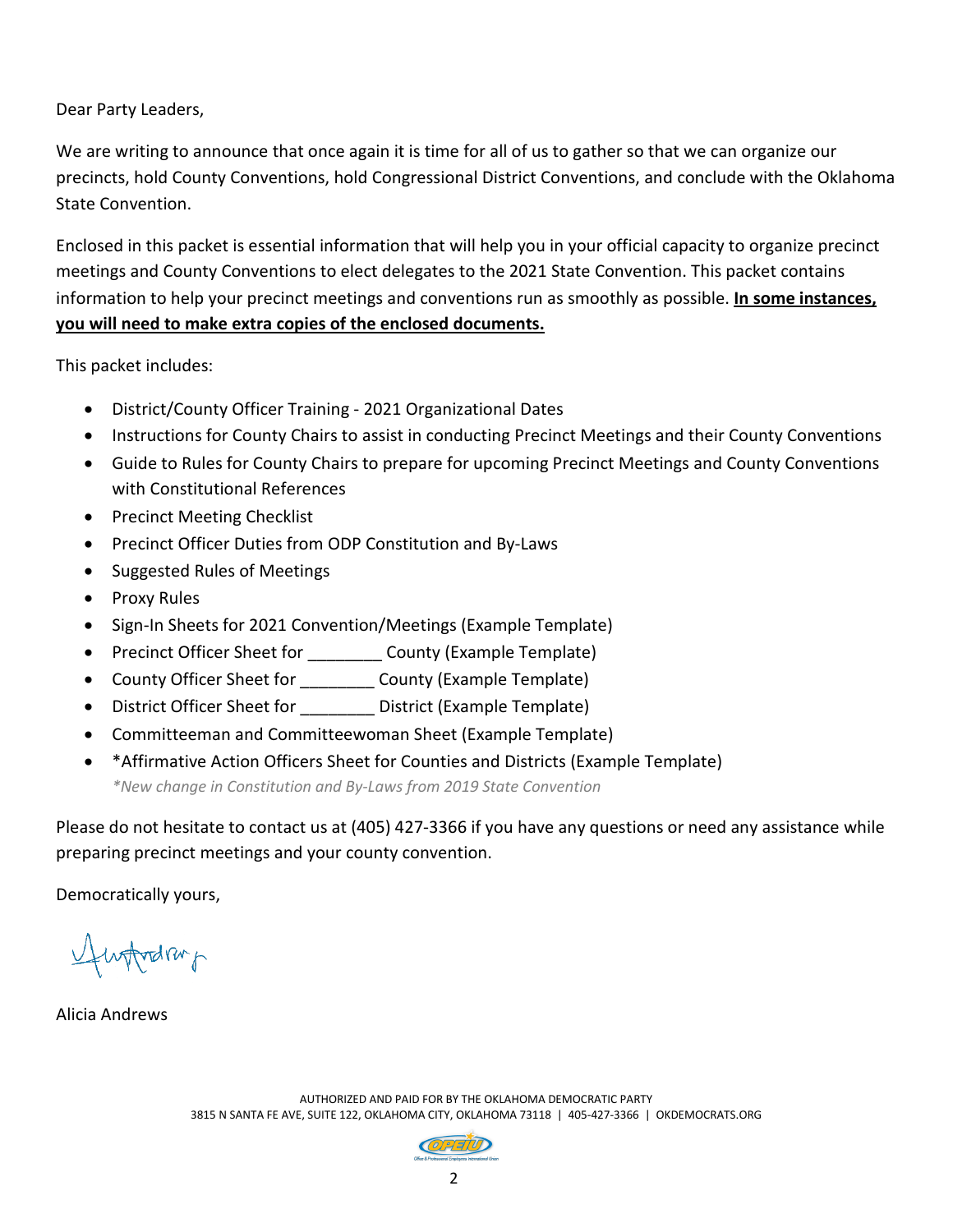Dear Party Leaders,

We are writing to announce that once again it is time for all of us to gather so that we can organize our precincts, hold County Conventions, hold Congressional District Conventions, and conclude with the Oklahoma State Convention.

Enclosed in this packet is essential information that will help you in your official capacity to organize precinct meetings and County Conventions to elect delegates to the 2021 State Convention. This packet contains information to help your precinct meetings and conventions run as smoothly as possible. **In some instances, you will need to make extra copies of the enclosed documents.**

This packet includes:

- District/County Officer Training 2021 Organizational Dates
- Instructions for County Chairs to assist in conducting Precinct Meetings and their County Conventions
- Guide to Rules for County Chairs to prepare for upcoming Precinct Meetings and County Conventions with Constitutional References
- Precinct Meeting Checklist
- Precinct Officer Duties from ODP Constitution and By-Laws
- Suggested Rules of Meetings
- Proxy Rules
- Sign-In Sheets for 2021 Convention/Meetings (Example Template)
- Precinct Officer Sheet for \_\_\_\_\_\_\_\_\_\_ County (Example Template)
- County Officer Sheet for \_\_\_\_\_\_\_\_ County (Example Template)
- District Officer Sheet for **District (Example Template)**
- Committeeman and Committeewoman Sheet (Example Template)
- \*Affirmative Action Officers Sheet for Counties and Districts (Example Template)

*\*New change in Constitution and By-Laws from 2019 State Convention*

Please do not hesitate to contact us at (405) 427-3366 if you have any questions or need any assistance while preparing precinct meetings and your county convention.

Democratically yours,

Huffredrup

Alicia Andrews

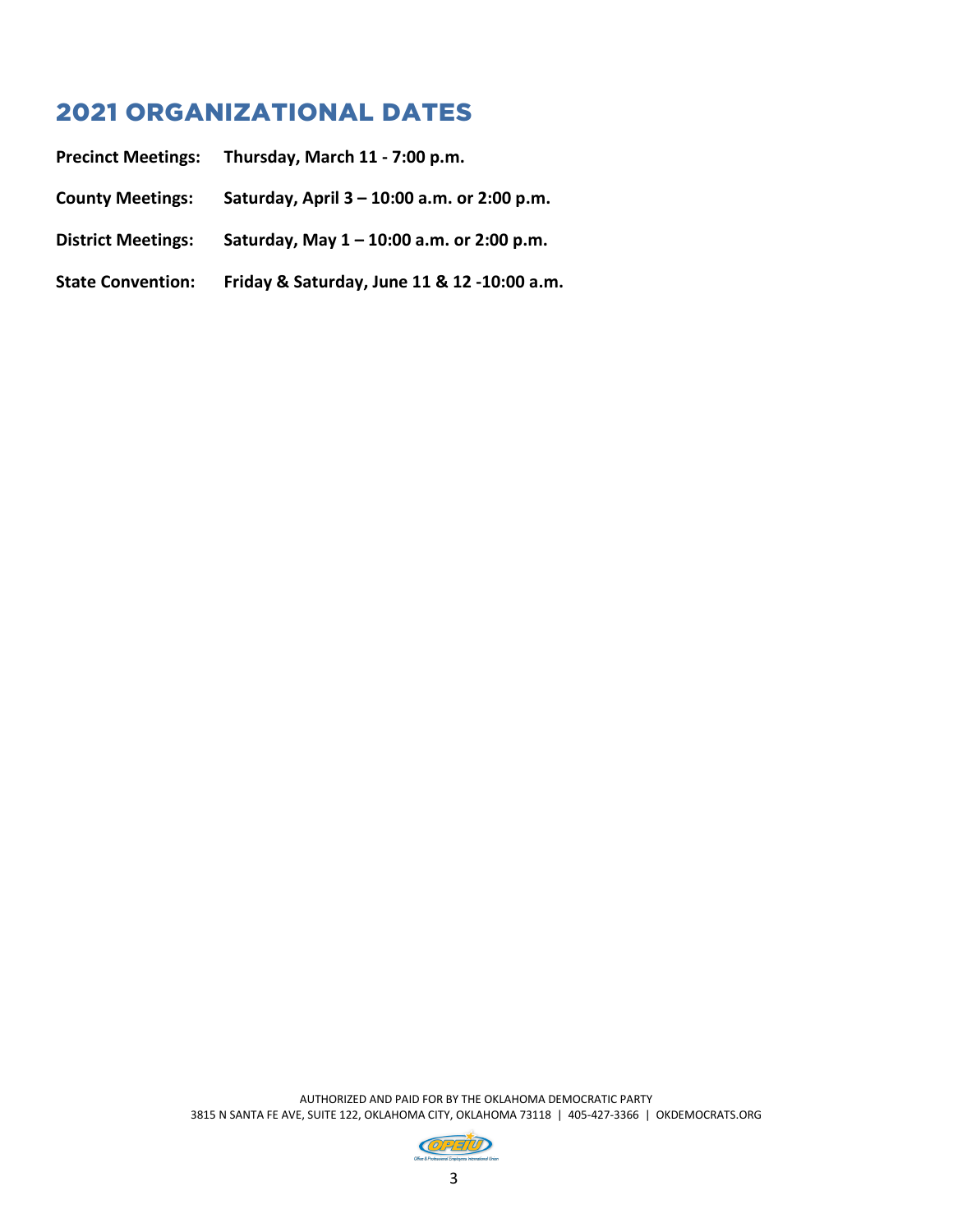## 2021 ORGANIZATIONAL DATES

| <b>Precinct Meetings:</b> | Thursday, March 11 - 7:00 p.m.                |
|---------------------------|-----------------------------------------------|
| <b>County Meetings:</b>   | Saturday, April $3 - 10:00$ a.m. or 2:00 p.m. |
| <b>District Meetings:</b> | Saturday, May $1 - 10:00$ a.m. or 2:00 p.m.   |
| <b>State Convention:</b>  | Friday & Saturday, June 11 & 12 -10:00 a.m.   |

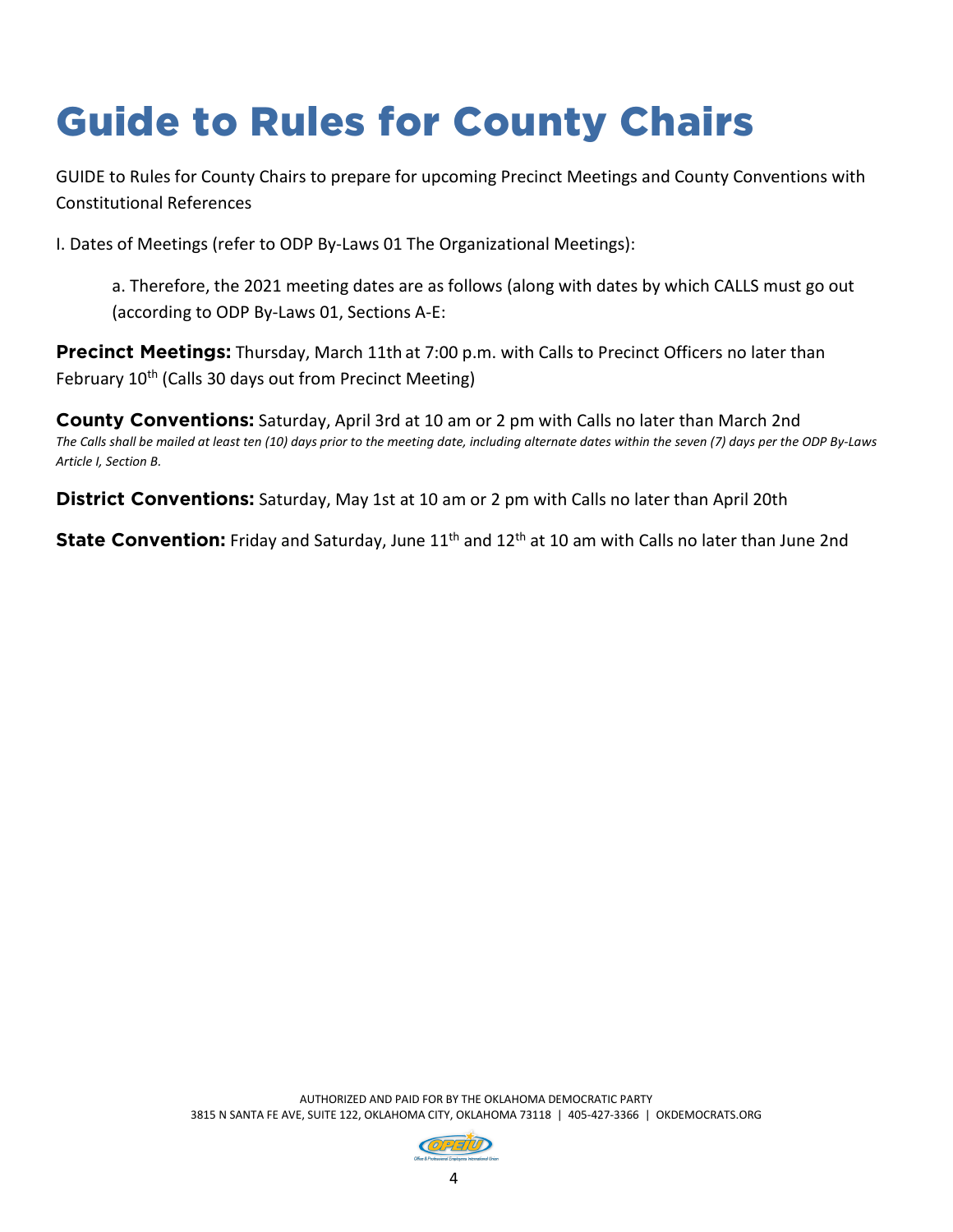# Guide to Rules for County Chairs

GUIDE to Rules for County Chairs to prepare for upcoming Precinct Meetings and County Conventions with Constitutional References

I. Dates of Meetings (refer to ODP By-Laws 01 The Organizational Meetings):

a. Therefore, the 2021 meeting dates are as follows (along with dates by which CALLS must go out (according to ODP By-Laws 01, Sections A-E:

**Precinct Meetings:** Thursday, March 11th at 7:00 p.m. with Calls to Precinct Officers no later than February 10<sup>th</sup> (Calls 30 days out from Precinct Meeting)

**County Conventions:** Saturday, April 3rd at 10 am or 2 pm with Calls no later than March 2nd *The Calls shall be mailed at least ten (10) days prior to the meeting date, including alternate dates within the seven (7) days per the ODP By-Laws Article I, Section B.*

**District Conventions:** Saturday, May 1st at 10 am or 2 pm with Calls no later than April 20th

**State Convention:** Friday and Saturday, June 11<sup>th</sup> and 12<sup>th</sup> at 10 am with Calls no later than June 2nd

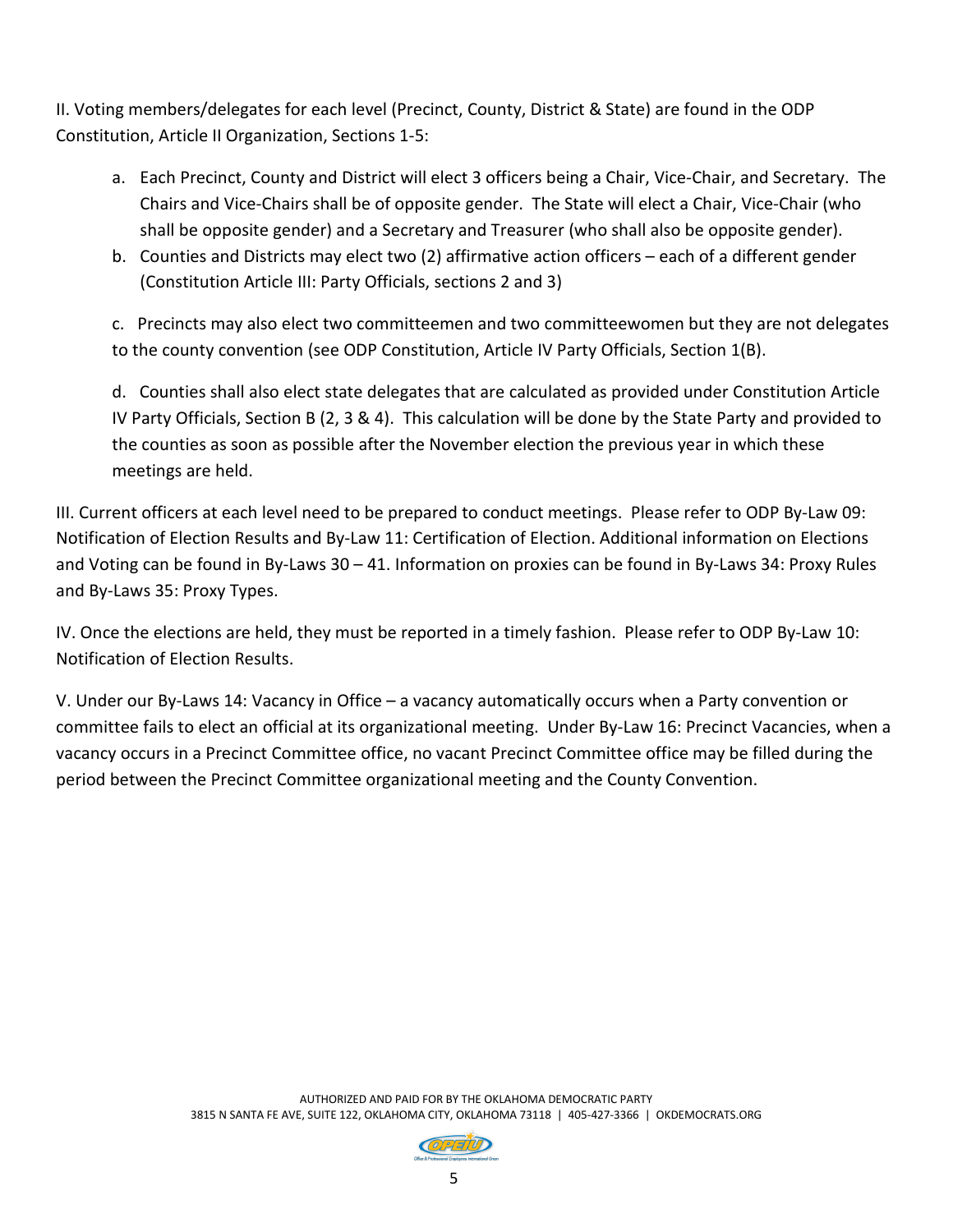II. Voting members/delegates for each level (Precinct, County, District & State) are found in the ODP Constitution, Article II Organization, Sections 1-5:

- a. Each Precinct, County and District will elect 3 officers being a Chair, Vice-Chair, and Secretary. The Chairs and Vice-Chairs shall be of opposite gender. The State will elect a Chair, Vice-Chair (who shall be opposite gender) and a Secretary and Treasurer (who shall also be opposite gender).
- b. Counties and Districts may elect two (2) affirmative action officers each of a different gender (Constitution Article III: Party Officials, sections 2 and 3)

c. Precincts may also elect two committeemen and two committeewomen but they are not delegates to the county convention (see ODP Constitution, Article IV Party Officials, Section 1(B).

d. Counties shall also elect state delegates that are calculated as provided under Constitution Article IV Party Officials, Section B (2, 3 & 4). This calculation will be done by the State Party and provided to the counties as soon as possible after the November election the previous year in which these meetings are held.

III. Current officers at each level need to be prepared to conduct meetings. Please refer to ODP By-Law 09: Notification of Election Results and By-Law 11: Certification of Election. Additional information on Elections and Voting can be found in By-Laws 30 – 41. Information on proxies can be found in By-Laws 34: Proxy Rules and By-Laws 35: Proxy Types.

IV. Once the elections are held, they must be reported in a timely fashion. Please refer to ODP By-Law 10: Notification of Election Results.

V. Under our By-Laws 14: Vacancy in Office – a vacancy automatically occurs when a Party convention or committee fails to elect an official at its organizational meeting. Under By-Law 16: Precinct Vacancies, when a vacancy occurs in a Precinct Committee office, no vacant Precinct Committee office may be filled during the period between the Precinct Committee organizational meeting and the County Convention.

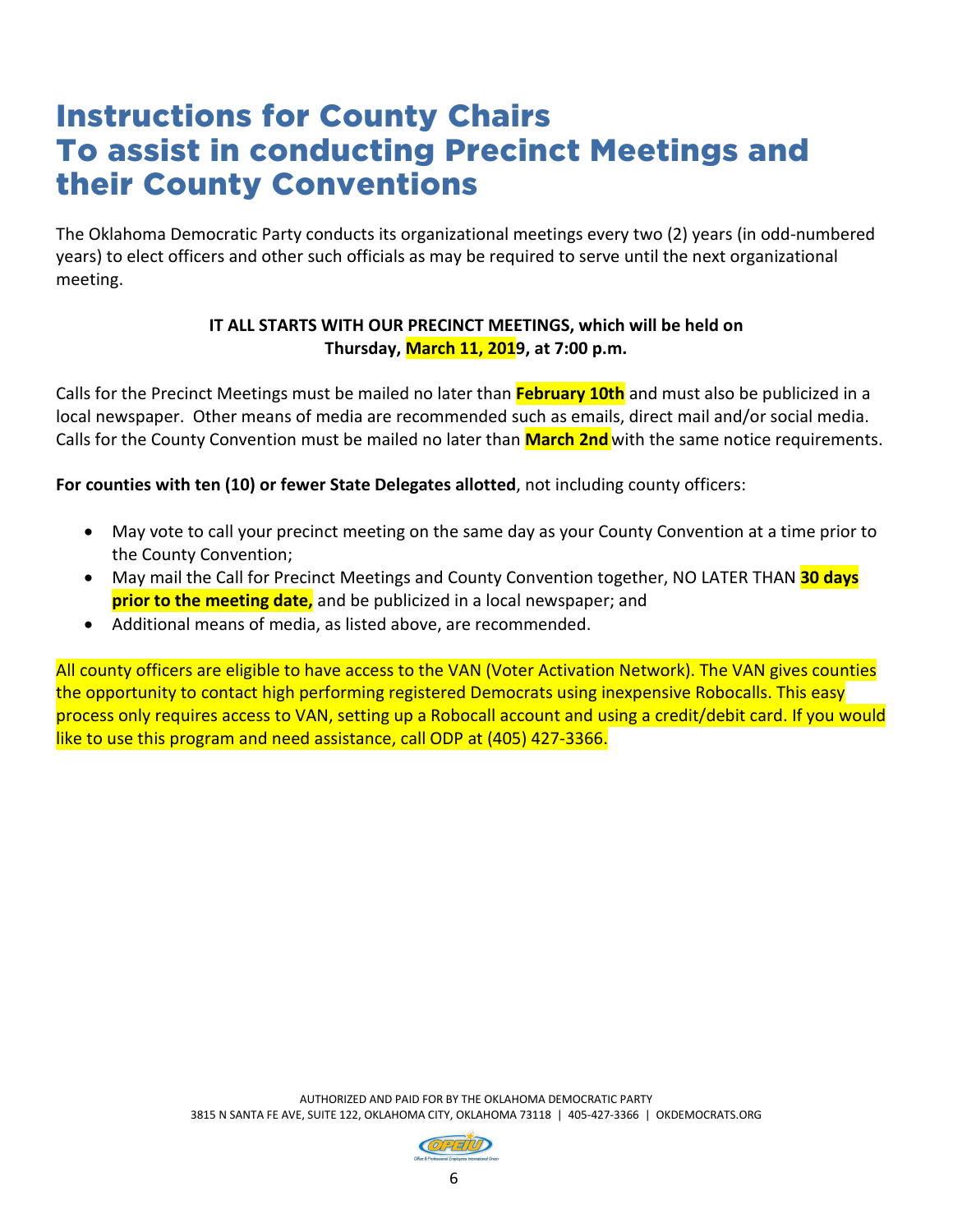## Instructions for County Chairs To assist in conducting Precinct Meetings and their County Conventions

The Oklahoma Democratic Party conducts its organizational meetings every two (2) years (in odd-numbered years) to elect officers and other such officials as may be required to serve until the next organizational meeting.

#### **IT ALL STARTS WITH OUR PRECINCT MEETINGS, which will be held on Thursday, March 11, 2019, at 7:00 p.m.**

Calls for the Precinct Meetings must be mailed no later than **February 10th** and must also be publicized in a local newspaper. Other means of media are recommended such as emails, direct mail and/or social media. Calls for the County Convention must be mailed no later than **March 2nd**with the same notice requirements.

**For counties with ten (10) or fewer State Delegates allotted**, not including county officers:

- May vote to call your precinct meeting on the same day as your County Convention at a time prior to the County Convention;
- May mail the Call for Precinct Meetings and County Convention together, NO LATER THAN **30 days prior to the meeting date,** and be publicized in a local newspaper; and
- Additional means of media, as listed above, are recommended.

All county officers are eligible to have access to the VAN (Voter Activation Network). The VAN gives counties the opportunity to contact high performing registered Democrats using inexpensive Robocalls. This easy process only requires access to VAN, setting up a Robocall account and using a credit/debit card. If you would like to use this program and need assistance, call ODP at (405) 427-3366.

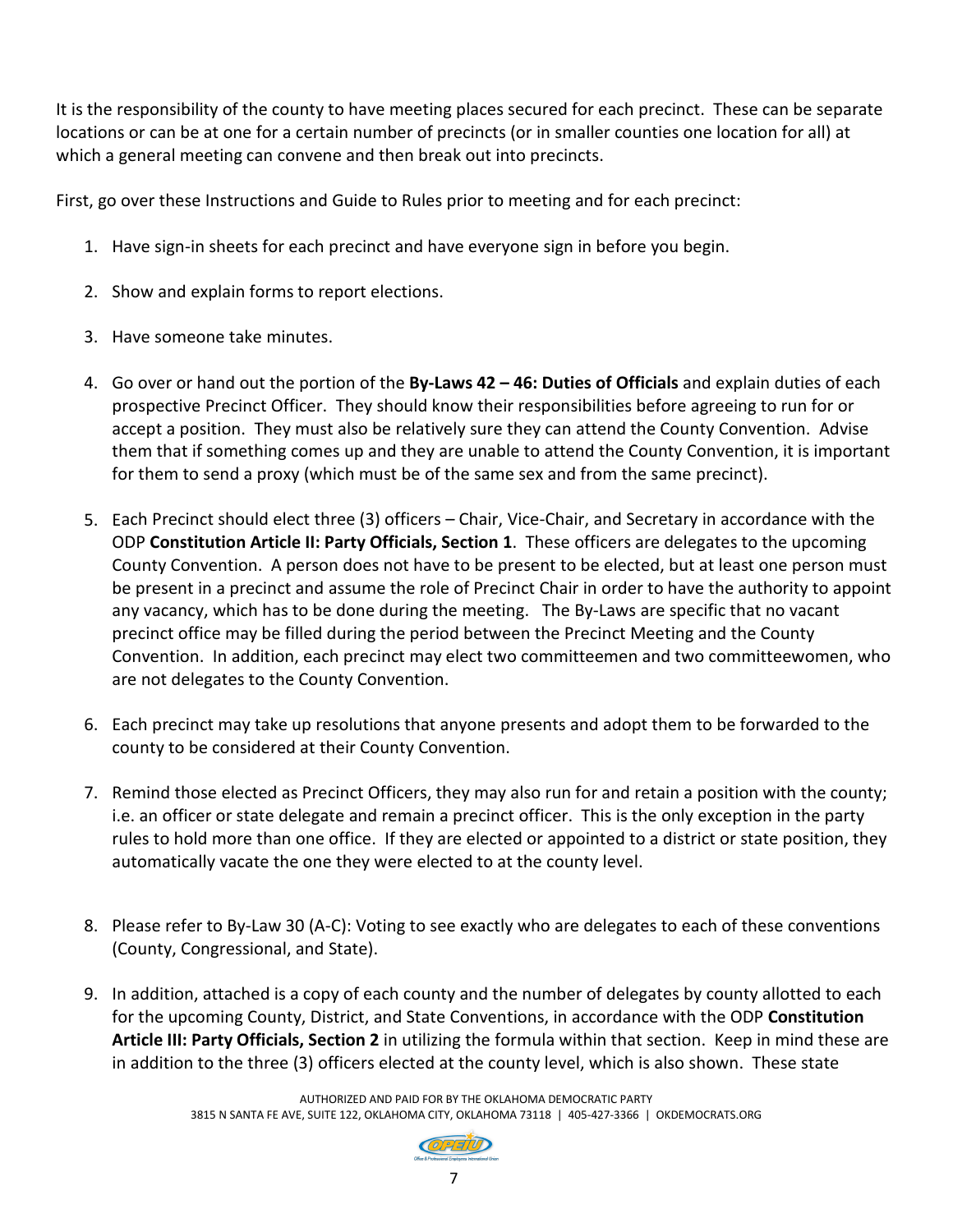It is the responsibility of the county to have meeting places secured for each precinct. These can be separate locations or can be at one for a certain number of precincts (or in smaller counties one location for all) at which a general meeting can convene and then break out into precincts.

First, go over these Instructions and Guide to Rules prior to meeting and for each precinct:

- 1. Have sign-in sheets for each precinct and have everyone sign in before you begin.
- 2. Show and explain forms to report elections.
- 3. Have someone take minutes.
- 4. Go over or hand out the portion of the **By-Laws 42 46: Duties of Officials** and explain duties of each prospective Precinct Officer. They should know their responsibilities before agreeing to run for or accept a position. They must also be relatively sure they can attend the County Convention. Advise them that if something comes up and they are unable to attend the County Convention, it is important for them to send a proxy (which must be of the same sex and from the same precinct).
- 5. Each Precinct should elect three (3) officers Chair, Vice-Chair, and Secretary in accordance with the ODP **Constitution Article II: Party Officials, Section 1**. These officers are delegates to the upcoming County Convention. A person does not have to be present to be elected, but at least one person must be present in a precinct and assume the role of Precinct Chair in order to have the authority to appoint any vacancy, which has to be done during the meeting. The By-Laws are specific that no vacant precinct office may be filled during the period between the Precinct Meeting and the County Convention. In addition, each precinct may elect two committeemen and two committeewomen, who are not delegates to the County Convention.
- 6. Each precinct may take up resolutions that anyone presents and adopt them to be forwarded to the county to be considered at their County Convention.
- 7. Remind those elected as Precinct Officers, they may also run for and retain a position with the county; i.e. an officer or state delegate and remain a precinct officer. This is the only exception in the party rules to hold more than one office. If they are elected or appointed to a district or state position, they automatically vacate the one they were elected to at the county level.
- 8. Please refer to By-Law 30 (A-C): Voting to see exactly who are delegates to each of these conventions (County, Congressional, and State).
- 9. In addition, attached is a copy of each county and the number of delegates by county allotted to each for the upcoming County, District, and State Conventions, in accordance with the ODP **Constitution Article III: Party Officials, Section 2** in utilizing the formula within that section. Keep in mind these are in addition to the three (3) officers elected at the county level, which is also shown. These state

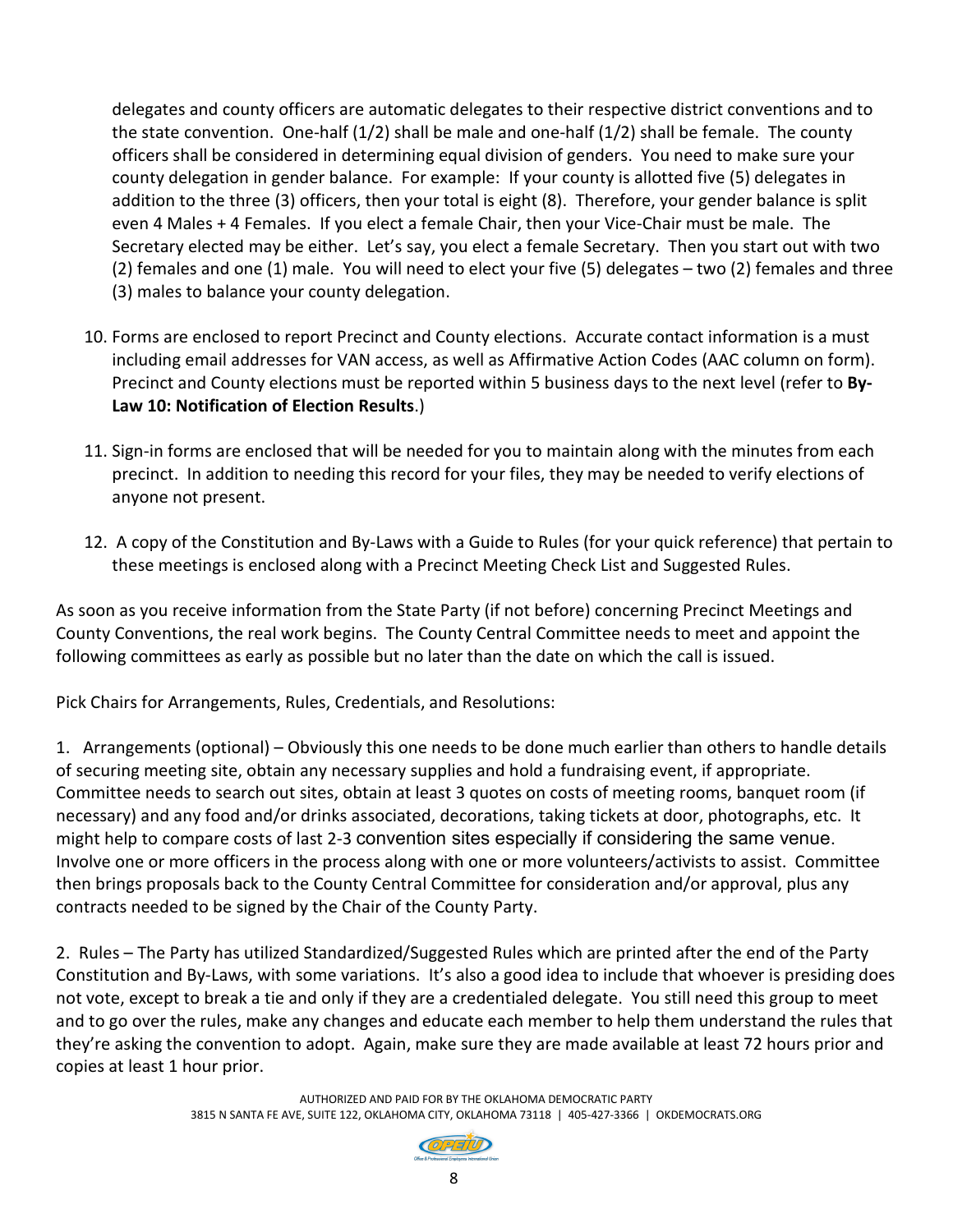delegates and county officers are automatic delegates to their respective district conventions and to the state convention. One-half (1/2) shall be male and one-half (1/2) shall be female. The county officers shall be considered in determining equal division of genders. You need to make sure your county delegation in gender balance. For example: If your county is allotted five (5) delegates in addition to the three (3) officers, then your total is eight (8). Therefore, your gender balance is split even 4 Males + 4 Females. If you elect a female Chair, then your Vice-Chair must be male. The Secretary elected may be either. Let's say, you elect a female Secretary. Then you start out with two (2) females and one (1) male. You will need to elect your five (5) delegates – two (2) females and three (3) males to balance your county delegation.

- 10. Forms are enclosed to report Precinct and County elections. Accurate contact information is a must including email addresses for VAN access, as well as Affirmative Action Codes (AAC column on form). Precinct and County elections must be reported within 5 business days to the next level (refer to **By-Law 10: Notification of Election Results**.)
- 11. Sign-in forms are enclosed that will be needed for you to maintain along with the minutes from each precinct. In addition to needing this record for your files, they may be needed to verify elections of anyone not present.
- 12. A copy of the Constitution and By-Laws with a Guide to Rules (for your quick reference) that pertain to these meetings is enclosed along with a Precinct Meeting Check List and Suggested Rules.

As soon as you receive information from the State Party (if not before) concerning Precinct Meetings and County Conventions, the real work begins. The County Central Committee needs to meet and appoint the following committees as early as possible but no later than the date on which the call is issued.

Pick Chairs for Arrangements, Rules, Credentials, and Resolutions:

1. Arrangements (optional) – Obviously this one needs to be done much earlier than others to handle details of securing meeting site, obtain any necessary supplies and hold a fundraising event, if appropriate. Committee needs to search out sites, obtain at least 3 quotes on costs of meeting rooms, banquet room (if necessary) and any food and/or drinks associated, decorations, taking tickets at door, photographs, etc. It might help to compare costs of last 2-3 convention sites especially if considering the same venue. Involve one or more officers in the process along with one or more volunteers/activists to assist. Committee then brings proposals back to the County Central Committee for consideration and/or approval, plus any contracts needed to be signed by the Chair of the County Party.

2. Rules – The Party has utilized Standardized/Suggested Rules which are printed after the end of the Party Constitution and By-Laws, with some variations. It's also a good idea to include that whoever is presiding does not vote, except to break a tie and only if they are a credentialed delegate. You still need this group to meet and to go over the rules, make any changes and educate each member to help them understand the rules that they're asking the convention to adopt. Again, make sure they are made available at least 72 hours prior and copies at least 1 hour prior.

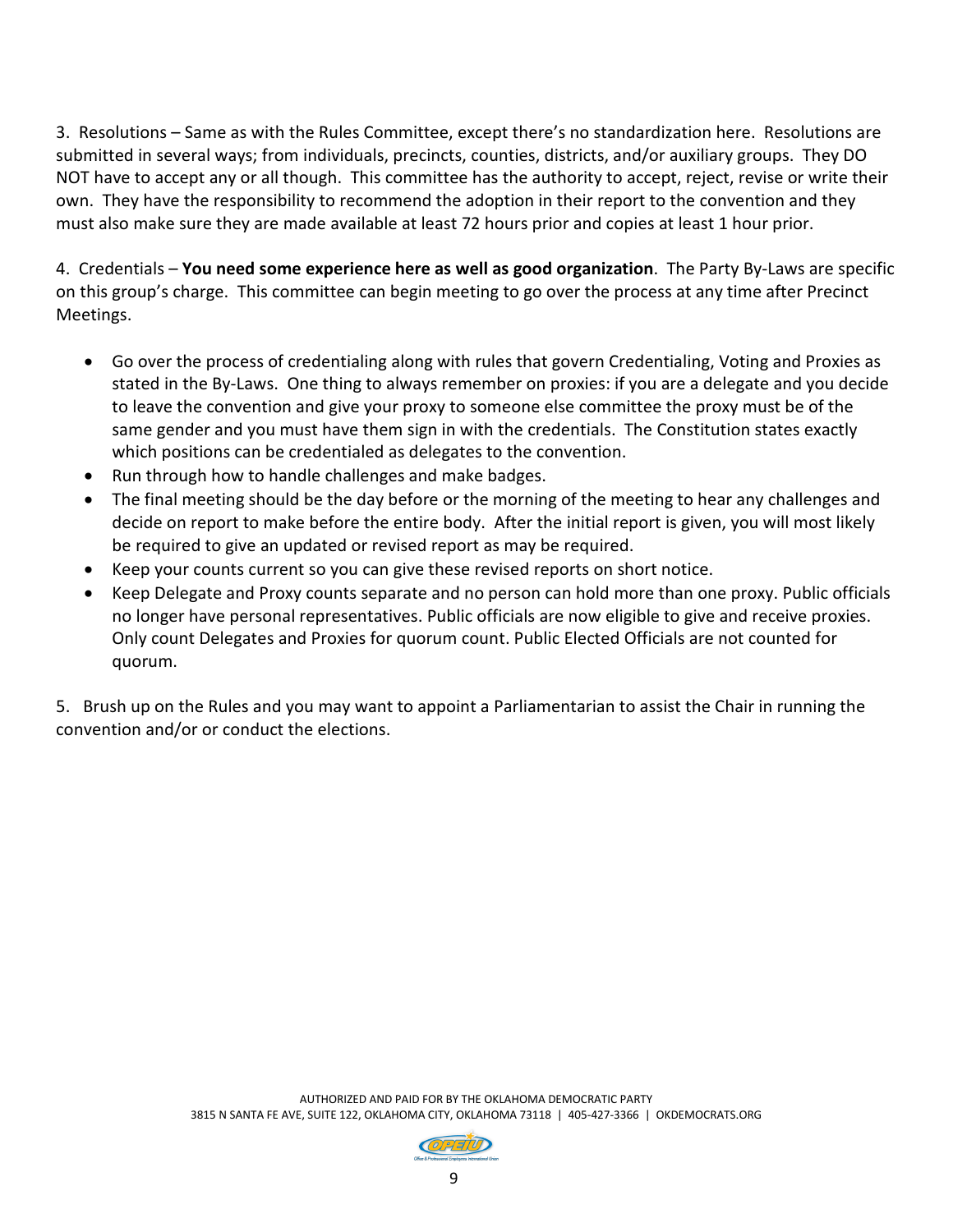3. Resolutions – Same as with the Rules Committee, except there's no standardization here. Resolutions are submitted in several ways; from individuals, precincts, counties, districts, and/or auxiliary groups. They DO NOT have to accept any or all though. This committee has the authority to accept, reject, revise or write their own. They have the responsibility to recommend the adoption in their report to the convention and they must also make sure they are made available at least 72 hours prior and copies at least 1 hour prior.

4. Credentials – **You need some experience here as well as good organization**. The Party By-Laws are specific on this group's charge. This committee can begin meeting to go over the process at any time after Precinct Meetings.

- Go over the process of credentialing along with rules that govern Credentialing, Voting and Proxies as stated in the By-Laws. One thing to always remember on proxies: if you are a delegate and you decide to leave the convention and give your proxy to someone else committee the proxy must be of the same gender and you must have them sign in with the credentials. The Constitution states exactly which positions can be credentialed as delegates to the convention.
- Run through how to handle challenges and make badges.
- The final meeting should be the day before or the morning of the meeting to hear any challenges and decide on report to make before the entire body. After the initial report is given, you will most likely be required to give an updated or revised report as may be required.
- Keep your counts current so you can give these revised reports on short notice.
- Keep Delegate and Proxy counts separate and no person can hold more than one proxy. Public officials no longer have personal representatives. Public officials are now eligible to give and receive proxies. Only count Delegates and Proxies for quorum count. Public Elected Officials are not counted for quorum.

5. Brush up on the Rules and you may want to appoint a Parliamentarian to assist the Chair in running the convention and/or or conduct the elections.

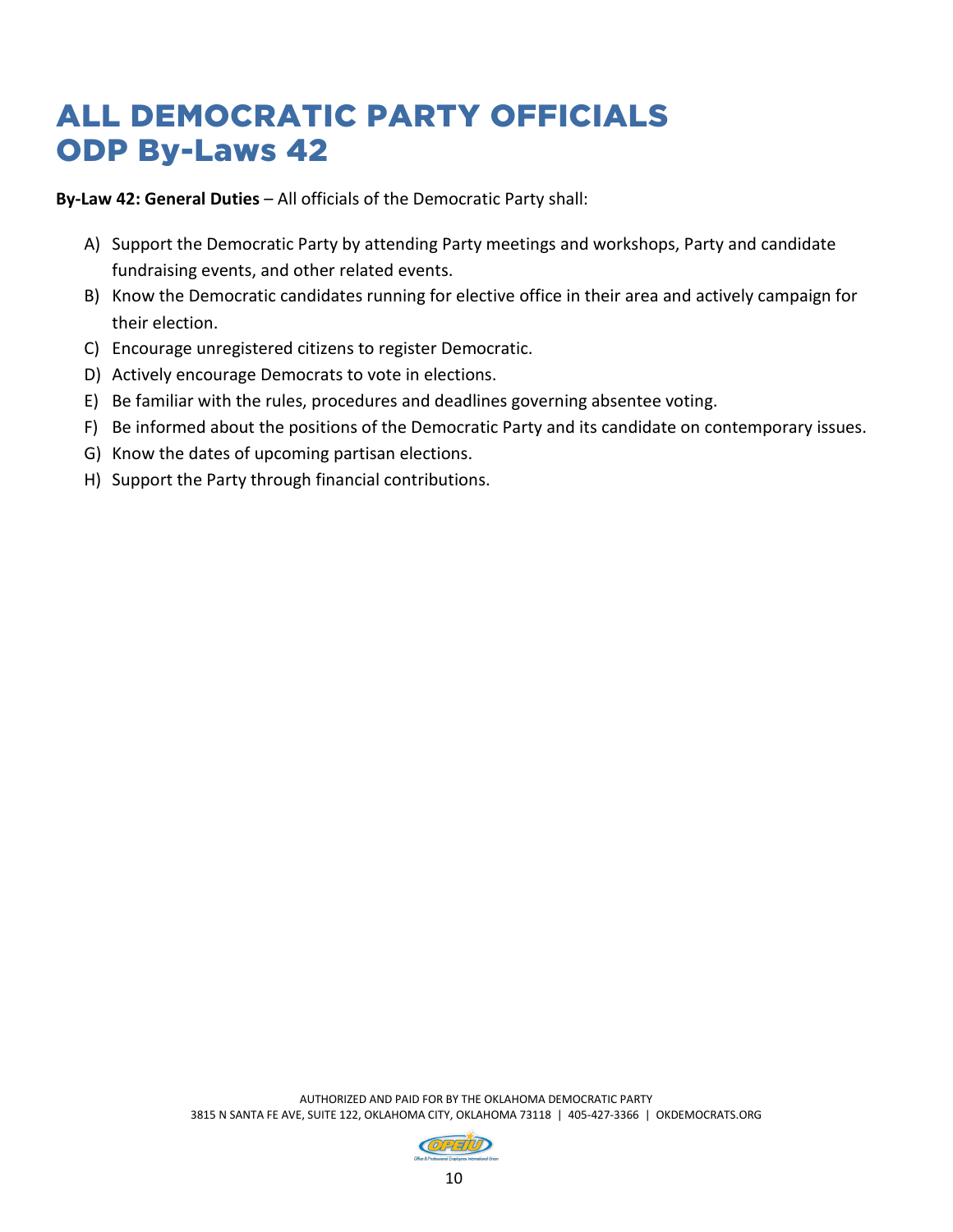## ALL DEMOCRATIC PARTY OFFICIALS ODP By-Laws 42

**By-Law 42: General Duties** – All officials of the Democratic Party shall:

- A) Support the Democratic Party by attending Party meetings and workshops, Party and candidate fundraising events, and other related events.
- B) Know the Democratic candidates running for elective office in their area and actively campaign for their election.
- C) Encourage unregistered citizens to register Democratic.
- D) Actively encourage Democrats to vote in elections.
- E) Be familiar with the rules, procedures and deadlines governing absentee voting.
- F) Be informed about the positions of the Democratic Party and its candidate on contemporary issues.
- G) Know the dates of upcoming partisan elections.
- H) Support the Party through financial contributions.

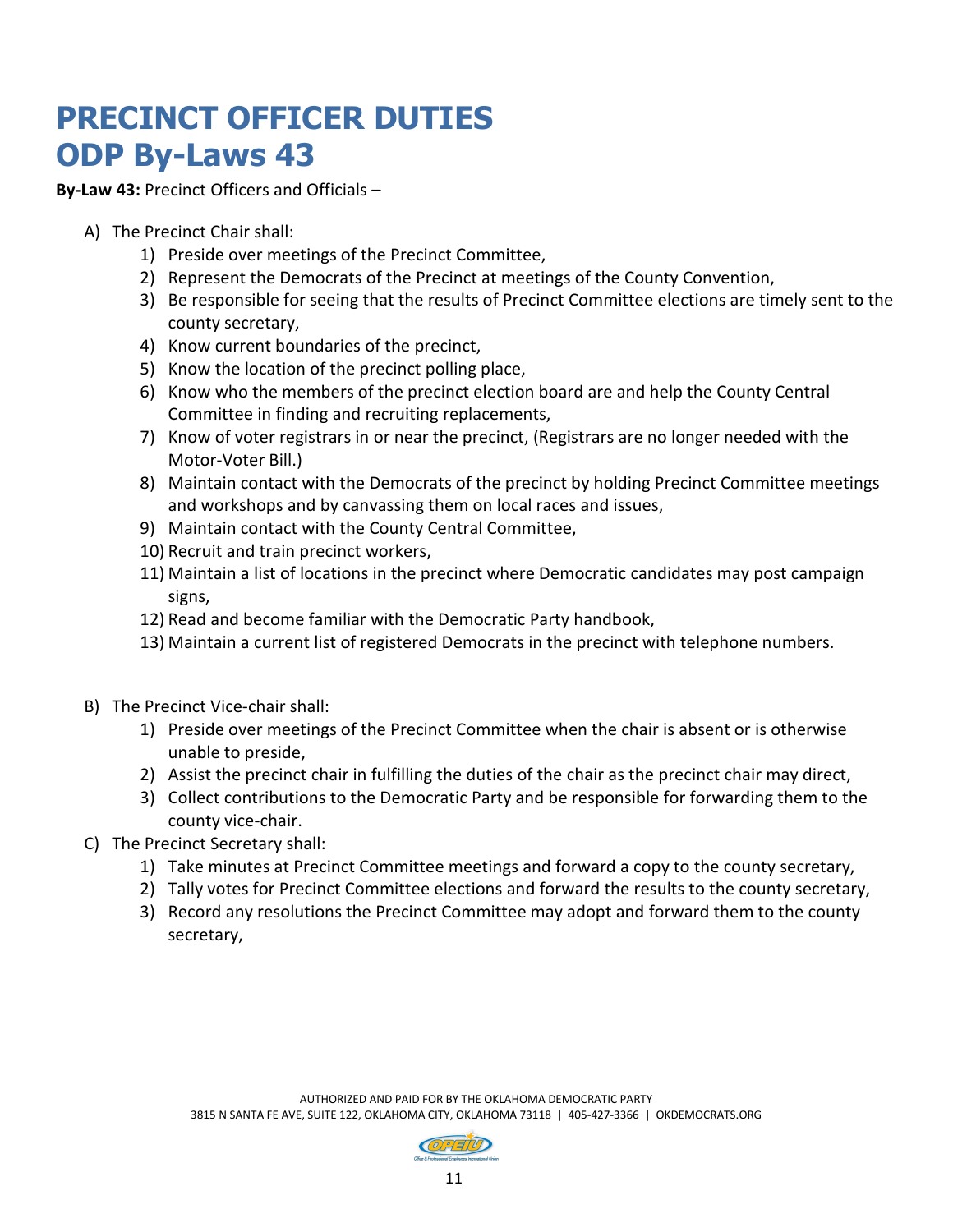## **PRECINCT OFFICER DUTIES ODP By-Laws 43**

**By-Law 43:** Precinct Officers and Officials –

- A) The Precinct Chair shall:
	- 1) Preside over meetings of the Precinct Committee,
	- 2) Represent the Democrats of the Precinct at meetings of the County Convention,
	- 3) Be responsible for seeing that the results of Precinct Committee elections are timely sent to the county secretary,
	- 4) Know current boundaries of the precinct,
	- 5) Know the location of the precinct polling place,
	- 6) Know who the members of the precinct election board are and help the County Central Committee in finding and recruiting replacements,
	- 7) Know of voter registrars in or near the precinct, (Registrars are no longer needed with the Motor-Voter Bill.)
	- 8) Maintain contact with the Democrats of the precinct by holding Precinct Committee meetings and workshops and by canvassing them on local races and issues,
	- 9) Maintain contact with the County Central Committee,
	- 10) Recruit and train precinct workers,
	- 11) Maintain a list of locations in the precinct where Democratic candidates may post campaign signs,
	- 12) Read and become familiar with the Democratic Party handbook,
	- 13) Maintain a current list of registered Democrats in the precinct with telephone numbers.
- B) The Precinct Vice-chair shall:
	- 1) Preside over meetings of the Precinct Committee when the chair is absent or is otherwise unable to preside,
	- 2) Assist the precinct chair in fulfilling the duties of the chair as the precinct chair may direct,
	- 3) Collect contributions to the Democratic Party and be responsible for forwarding them to the county vice-chair.
- C) The Precinct Secretary shall:
	- 1) Take minutes at Precinct Committee meetings and forward a copy to the county secretary,
	- 2) Tally votes for Precinct Committee elections and forward the results to the county secretary,
	- 3) Record any resolutions the Precinct Committee may adopt and forward them to the county secretary,

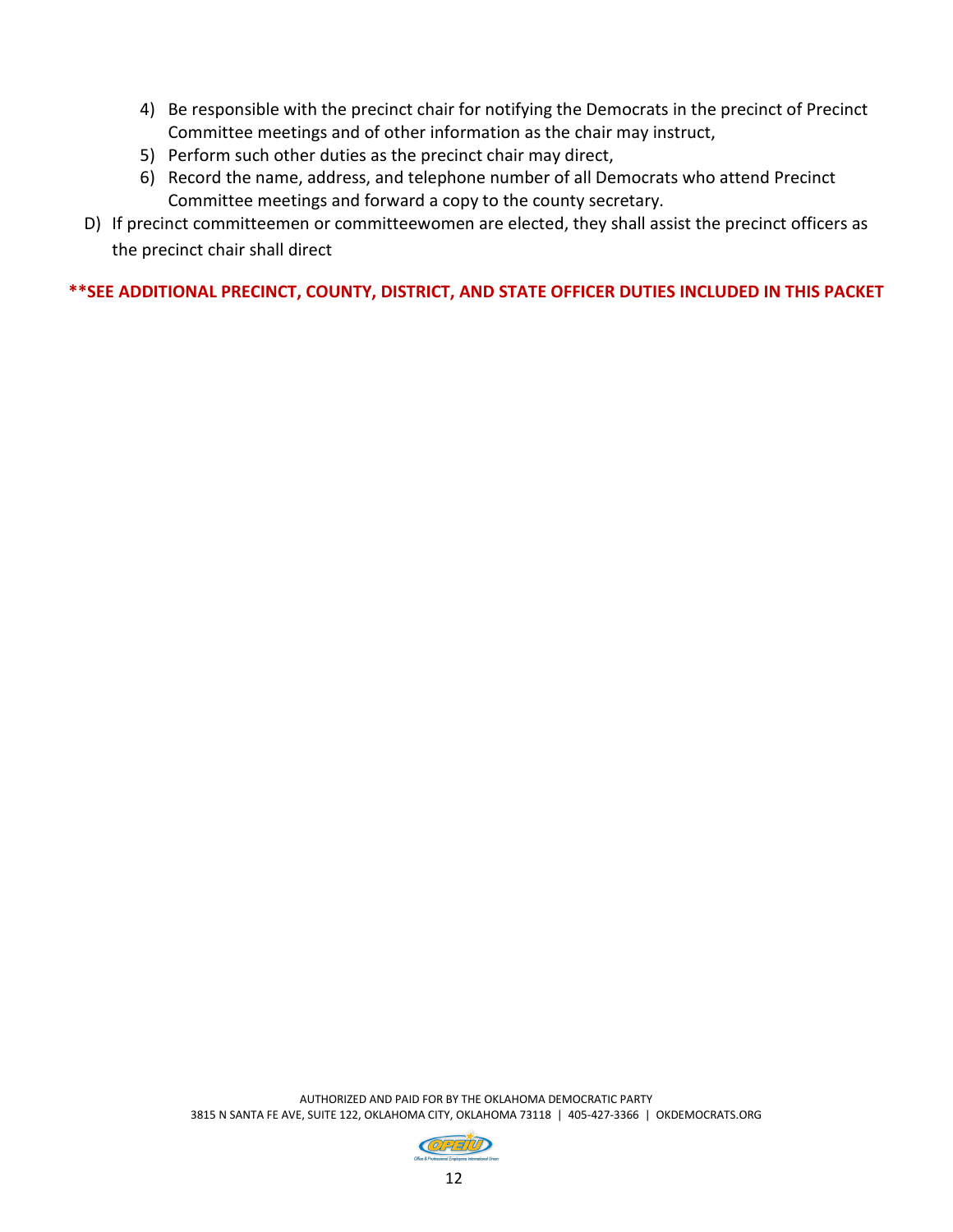- 4) Be responsible with the precinct chair for notifying the Democrats in the precinct of Precinct Committee meetings and of other information as the chair may instruct,
- 5) Perform such other duties as the precinct chair may direct,
- 6) Record the name, address, and telephone number of all Democrats who attend Precinct Committee meetings and forward a copy to the county secretary.
- D) If precinct committeemen or committeewomen are elected, they shall assist the precinct officers as the precinct chair shall direct

**\*\*SEE ADDITIONAL PRECINCT, COUNTY, DISTRICT, AND STATE OFFICER DUTIES INCLUDED IN THIS PACKET**

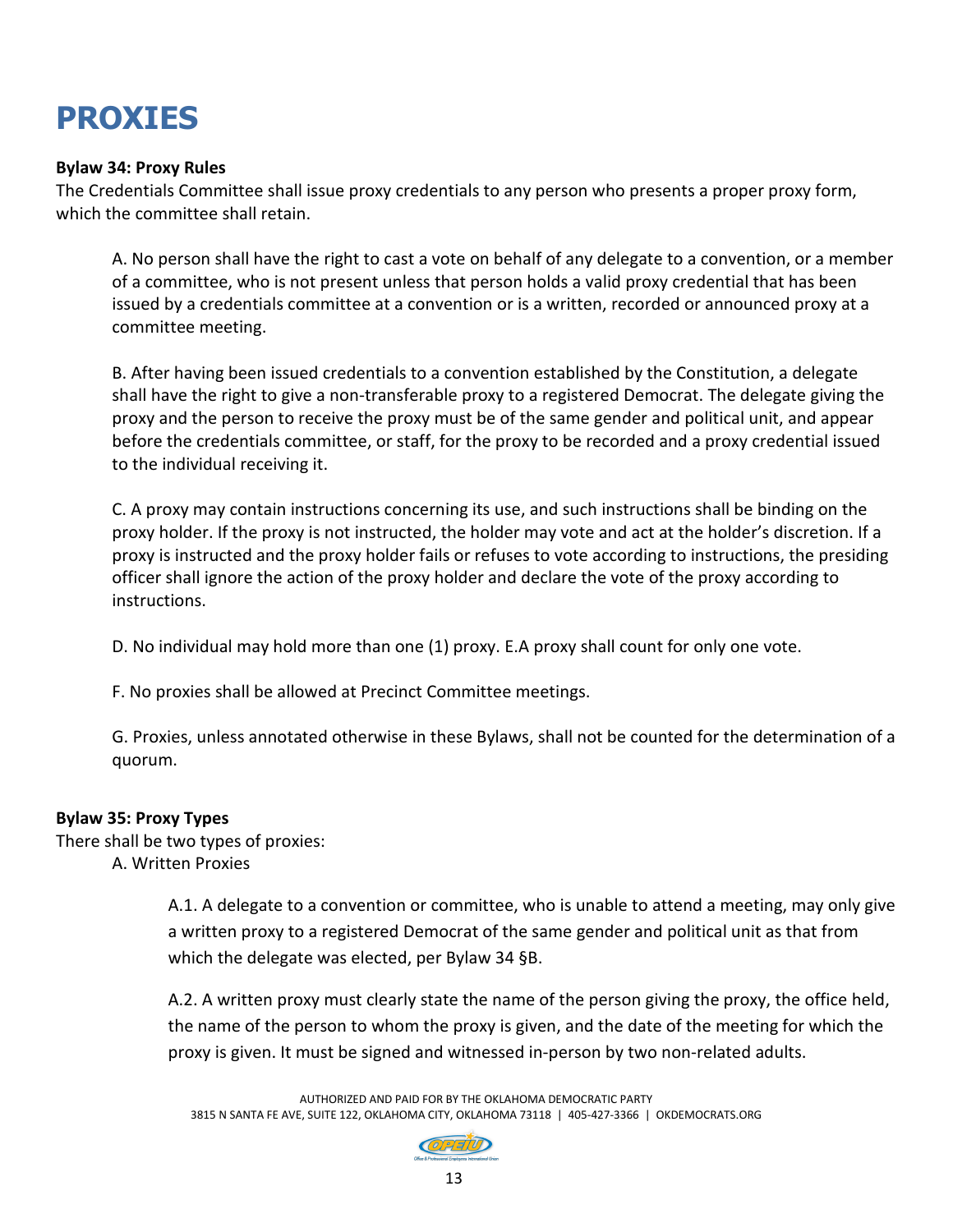## **PROXIES**

#### **Bylaw 34: Proxy Rules**

The Credentials Committee shall issue proxy credentials to any person who presents a proper proxy form, which the committee shall retain.

A. No person shall have the right to cast a vote on behalf of any delegate to a convention, or a member of a committee, who is not present unless that person holds a valid proxy credential that has been issued by a credentials committee at a convention or is a written, recorded or announced proxy at a committee meeting.

B. After having been issued credentials to a convention established by the Constitution, a delegate shall have the right to give a non-transferable proxy to a registered Democrat. The delegate giving the proxy and the person to receive the proxy must be of the same gender and political unit, and appear before the credentials committee, or staff, for the proxy to be recorded and a proxy credential issued to the individual receiving it.

C. A proxy may contain instructions concerning its use, and such instructions shall be binding on the proxy holder. If the proxy is not instructed, the holder may vote and act at the holder's discretion. If a proxy is instructed and the proxy holder fails or refuses to vote according to instructions, the presiding officer shall ignore the action of the proxy holder and declare the vote of the proxy according to instructions.

D. No individual may hold more than one (1) proxy. E.A proxy shall count for only one vote.

F. No proxies shall be allowed at Precinct Committee meetings.

G. Proxies, unless annotated otherwise in these Bylaws, shall not be counted for the determination of a quorum.

#### **Bylaw 35: Proxy Types**

There shall be two types of proxies: A. Written Proxies

> A.1. A delegate to a convention or committee, who is unable to attend a meeting, may only give a written proxy to a registered Democrat of the same gender and political unit as that from which the delegate was elected, per Bylaw 34 §B.

> A.2. A written proxy must clearly state the name of the person giving the proxy, the office held, the name of the person to whom the proxy is given, and the date of the meeting for which the proxy is given. It must be signed and witnessed in-person by two non-related adults.

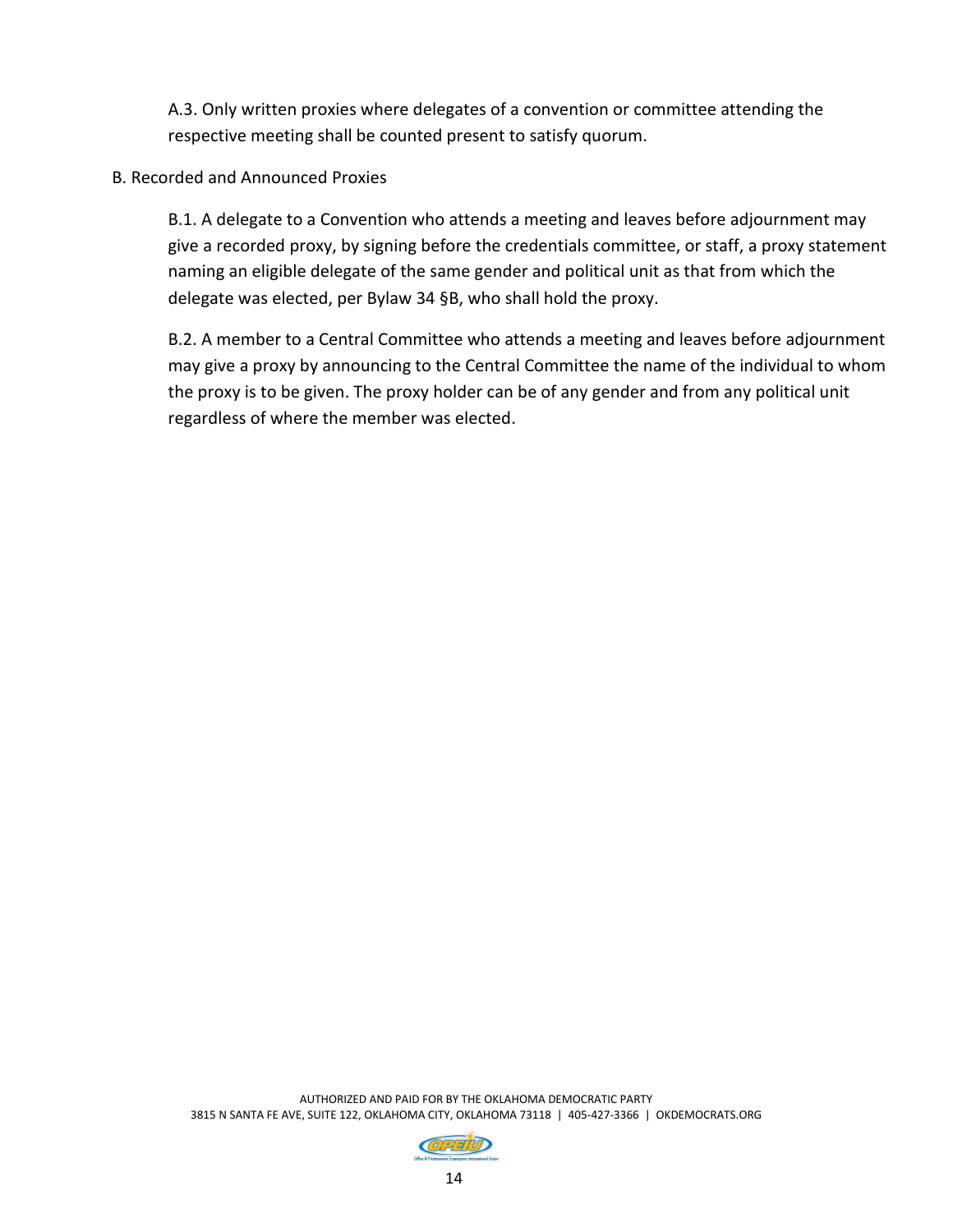A.3. Only written proxies where delegates of a convention or committee attending the respective meeting shall be counted present to satisfy quorum.

#### B. Recorded and Announced Proxies

B.1. A delegate to a Convention who attends a meeting and leaves before adjournment may give a recorded proxy, by signing before the credentials committee, or staff, a proxy statement naming an eligible delegate of the same gender and political unit as that from which the delegate was elected, per Bylaw 34 §B, who shall hold the proxy.

B.2. A member to a Central Committee who attends a meeting and leaves before adjournment may give a proxy by announcing to the Central Committee the name of the individual to whom the proxy is to be given. The proxy holder can be of any gender and from any political unit regardless of where the member was elected.

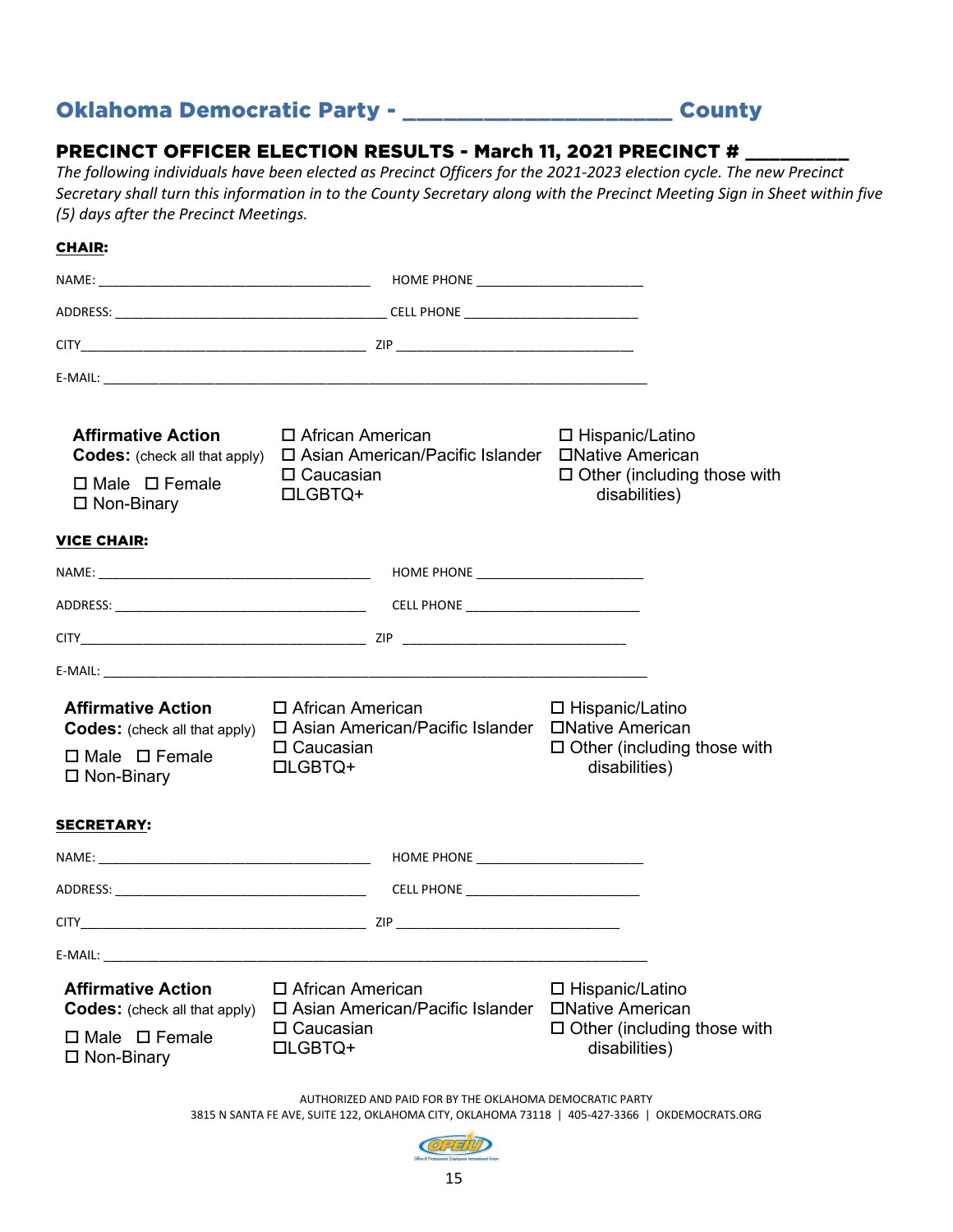### Oklahoma Democratic Party - \_\_\_\_\_\_\_\_\_\_\_\_\_\_\_\_\_\_\_\_ County

#### PRECINCT OFFICER ELECTION RESULTS - March 11, 2021 PRECINCT #

*The following individuals have been elected as Precinct Officers for the 2021-2023 election cycle. The new Precinct Secretary shall turn this information in to the County Secretary along with the Precinct Meeting Sign in Sheet within five (5) days after the Precinct Meetings.*

| <b>CHAIR:</b>                                                                                                                                                                                                                |                                                          |                                                     |                                                             |                                    |
|------------------------------------------------------------------------------------------------------------------------------------------------------------------------------------------------------------------------------|----------------------------------------------------------|-----------------------------------------------------|-------------------------------------------------------------|------------------------------------|
|                                                                                                                                                                                                                              |                                                          |                                                     |                                                             |                                    |
|                                                                                                                                                                                                                              |                                                          |                                                     |                                                             |                                    |
|                                                                                                                                                                                                                              |                                                          |                                                     |                                                             |                                    |
|                                                                                                                                                                                                                              |                                                          |                                                     |                                                             |                                    |
| <b>Affirmative Action</b><br>□ African American<br>Codes: (check all that apply) □ Asian American/Pacific Islander □ Native American<br>$\Box$ Caucasian<br>$\Box$ Male $\Box$ Female<br><b>□LGBTQ+</b><br>$\Box$ Non-Binary |                                                          |                                                     | □ Hispanic/Latino<br>disabilities)                          | $\Box$ Other (including those with |
| <b>VICE CHAIR:</b>                                                                                                                                                                                                           |                                                          |                                                     |                                                             |                                    |
|                                                                                                                                                                                                                              |                                                          |                                                     |                                                             |                                    |
|                                                                                                                                                                                                                              |                                                          |                                                     |                                                             |                                    |
|                                                                                                                                                                                                                              |                                                          |                                                     |                                                             |                                    |
|                                                                                                                                                                                                                              |                                                          |                                                     |                                                             |                                    |
| <b>Affirmative Action</b><br>□ African American<br><b>Codes:</b> (check all that apply)<br>$\Box$ Caucasian<br>$\Box$ Male $\Box$ Female<br><b>LIGBTQ+</b><br>$\Box$ Non-Binary                                              |                                                          | □ Asian American/Pacific Islander □ Native American | □ Hispanic/Latino<br>disabilities)                          | $\Box$ Other (including those with |
| <b>SECRETARY:</b>                                                                                                                                                                                                            |                                                          |                                                     |                                                             |                                    |
|                                                                                                                                                                                                                              |                                                          |                                                     |                                                             |                                    |
|                                                                                                                                                                                                                              |                                                          |                                                     |                                                             |                                    |
|                                                                                                                                                                                                                              |                                                          |                                                     |                                                             |                                    |
| E-MAIL:                                                                                                                                                                                                                      |                                                          |                                                     |                                                             |                                    |
| <b>Affirmative Action</b><br><b>Codes:</b> (check all that apply)<br>$\Box$ Male $\Box$ Female<br>$\square$ Non-Binary                                                                                                       | □ African American<br>$\Box$ Caucasian<br><b>LIGBTQ+</b> | □ Asian American/Pacific Islander                   | $\Box$ Hispanic/Latino<br>□Native American<br>disabilities) | $\Box$ Other (including those with |

AUTHORIZED AND PAID FOR BY THE OKLAHOMA DEMOCRATIC PARTY

3815 N SANTA FE AVE, SUITE 122, OKLAHOMA CITY, OKLAHOMA 73118 | 405-427-3366 | OKDEMOCRATS.ORG

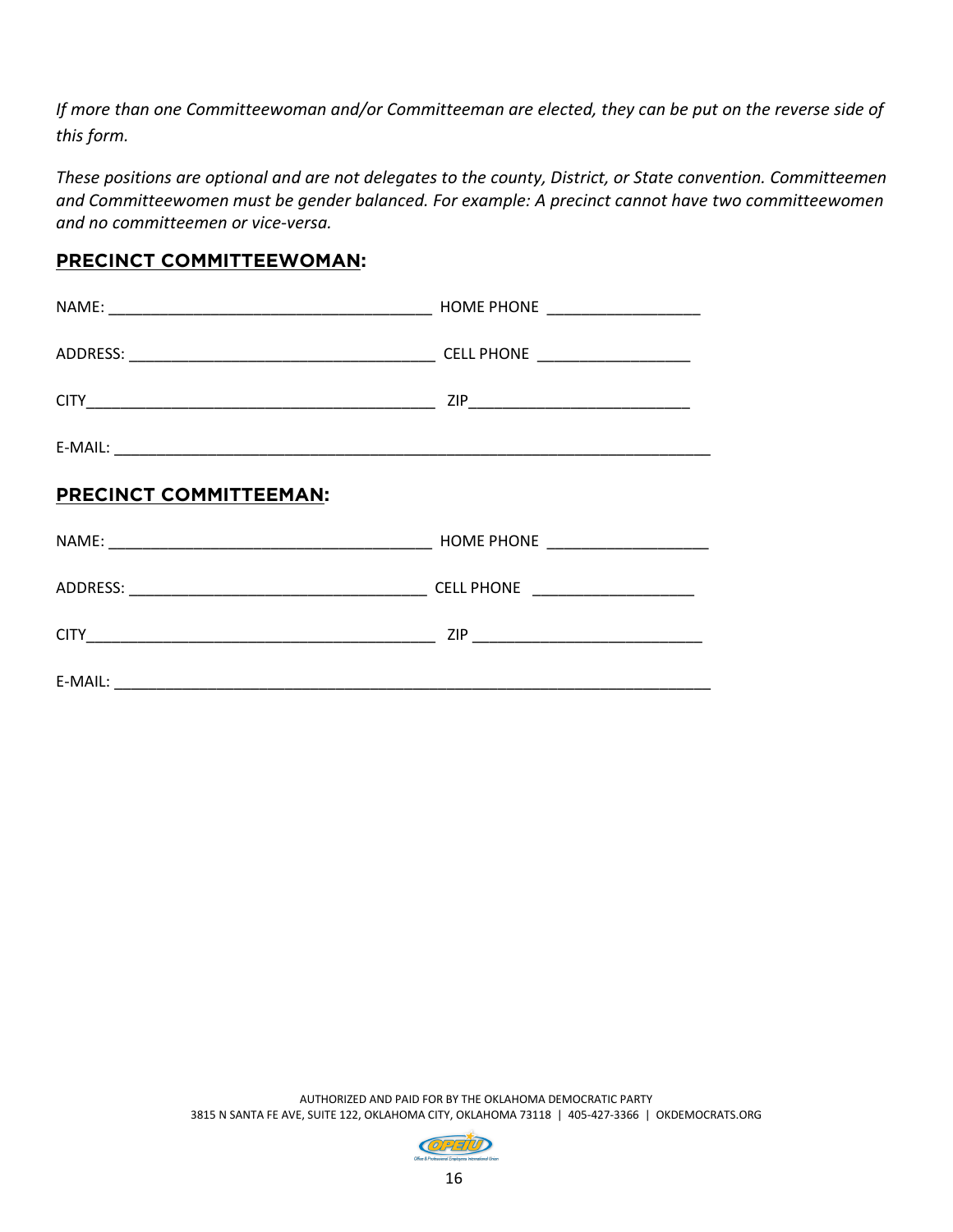*If more than one Committeewoman and/or Committeeman are elected, they can be put on the reverse side of this form.*

*These positions are optional and are not delegates to the county, District, or State convention. Committeemen and Committeewomen must be gender balanced. For example: A precinct cannot have two committeewomen and no committeemen or vice-versa.*

#### **PRECINCT COMMITTEEWOMAN:**

| <b>PRECINCT COMMITTEEMAN:</b> |  |
|-------------------------------|--|
|                               |  |
|                               |  |
|                               |  |
|                               |  |

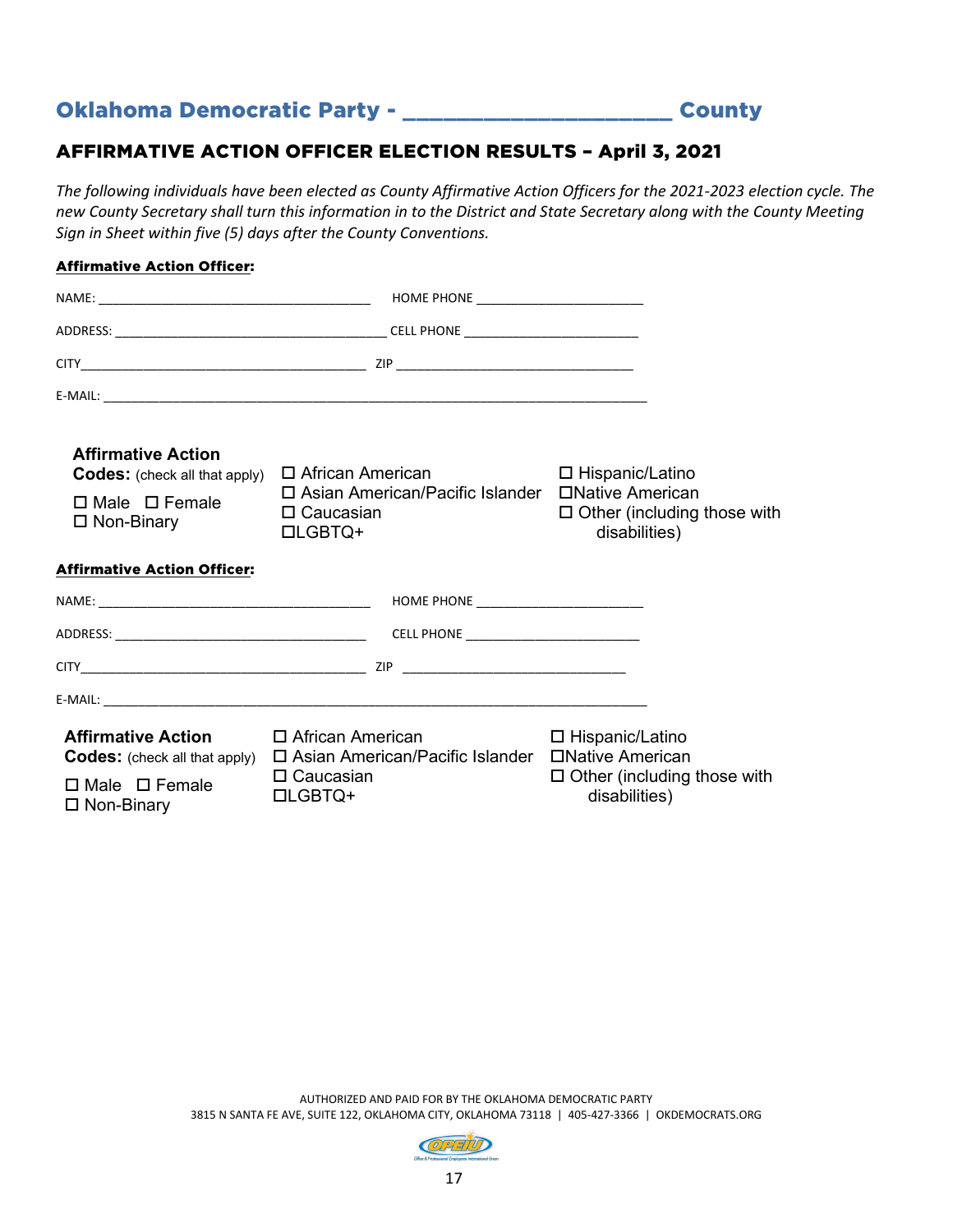## Oklahoma Democratic Party - \_\_\_\_\_\_\_\_\_\_\_\_\_\_\_\_\_\_\_\_ County

#### AFFIRMATIVE ACTION OFFICER ELECTION RESULTS – April 3, 2021

*The following individuals have been elected as County Affirmative Action Officers for the 2021-2023 election cycle. The new County Secretary shall turn this information in to the District and State Secretary along with the County Meeting Sign in Sheet within five (5) days after the County Conventions.*

#### Affirmative Action Officer:

| <b>Affirmative Action</b><br><b>Codes:</b> (check all that apply)<br>$\Box$ Male $\Box$ Female<br>$\Box$ Non-Binary | $\Box$ African American<br>□ Asian American/Pacific Islander □ Native American<br>$\square$ Caucasian<br><b>□LGBTQ+</b> | □ Hispanic/Latino<br>$\Box$ Other (including those with<br>disabilities)                     |
|---------------------------------------------------------------------------------------------------------------------|-------------------------------------------------------------------------------------------------------------------------|----------------------------------------------------------------------------------------------|
| <b>Affirmative Action Officer:</b>                                                                                  |                                                                                                                         |                                                                                              |
|                                                                                                                     |                                                                                                                         |                                                                                              |
|                                                                                                                     |                                                                                                                         |                                                                                              |
|                                                                                                                     |                                                                                                                         |                                                                                              |
|                                                                                                                     |                                                                                                                         |                                                                                              |
| <b>Affirmative Action</b><br><b>Codes:</b> (check all that apply)<br>$\Box$ Male $\Box$ Female<br>$\Box$ Non-Binary | □ African American<br>$\square$ Asian American/Pacific Islander<br>$\Box$ Caucasian<br><b>DLGBTQ+</b>                   | □ Hispanic/Latino<br>□Native American<br>$\Box$ Other (including those with<br>disabilities) |

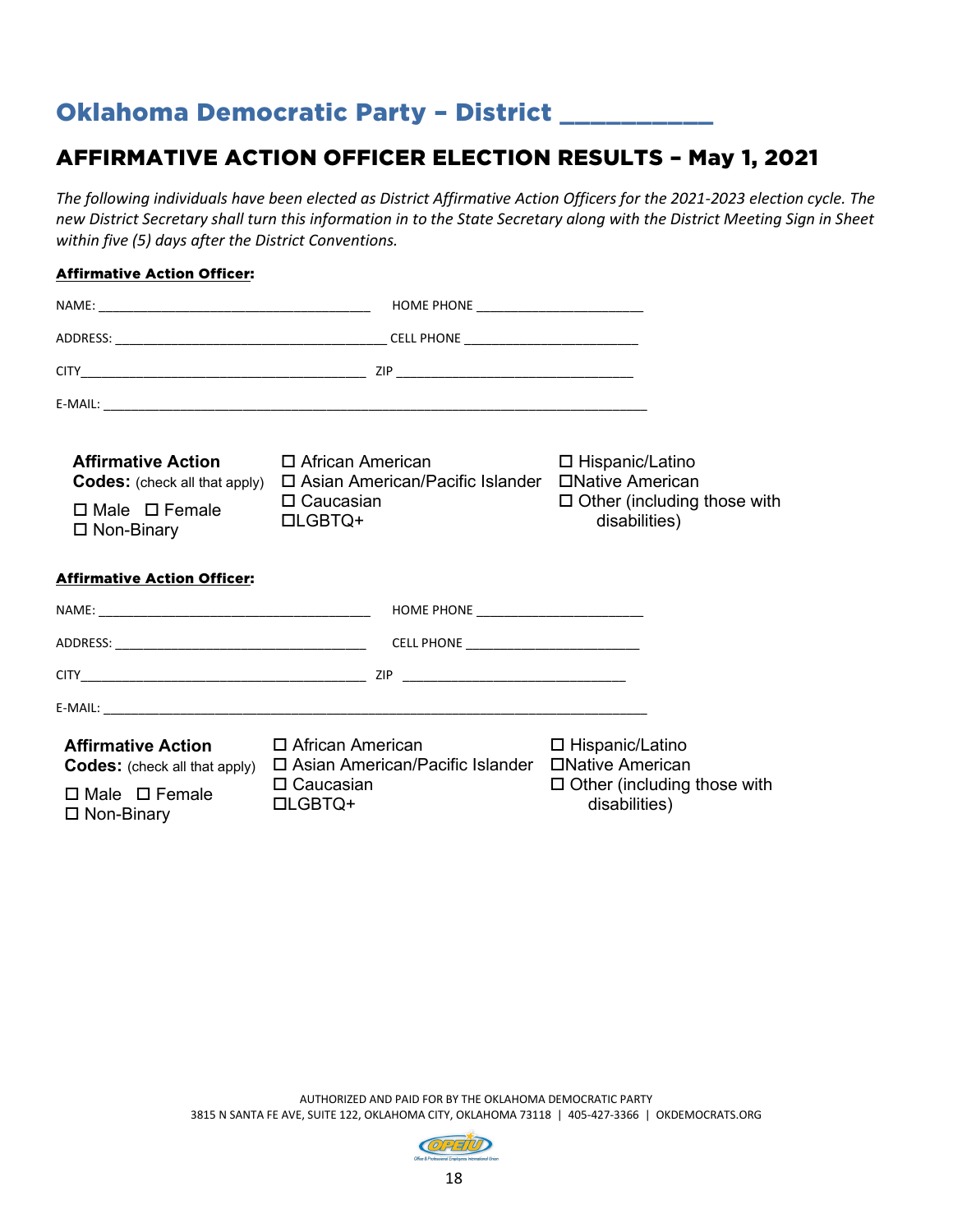## Oklahoma Democratic Party - District \_\_\_\_\_\_\_\_\_

### AFFIRMATIVE ACTION OFFICER ELECTION RESULTS – May 1, 2021

*The following individuals have been elected as District Affirmative Action Officers for the 2021-2023 election cycle. The new District Secretary shall turn this information in to the State Secretary along with the District Meeting Sign in Sheet within five (5) days after the District Conventions.*

#### Affirmative Action Officer:

| <b>Affirmative Action</b><br><b>Codes:</b> (check all that apply) | □ African American<br>□ Asian American/Pacific Islander □ Native American           | $\Box$ Hispanic/Latino                                                      |
|-------------------------------------------------------------------|-------------------------------------------------------------------------------------|-----------------------------------------------------------------------------|
| $\Box$ Male $\Box$ Female<br>$\Box$ Non-Binary                    | $\Box$ Caucasian<br><b>LIGBTQ+</b>                                                  | $\Box$ Other (including those with<br>disabilities)                         |
| <b>Affirmative Action Officer:</b>                                |                                                                                     |                                                                             |
|                                                                   |                                                                                     |                                                                             |
|                                                                   |                                                                                     |                                                                             |
|                                                                   |                                                                                     |                                                                             |
|                                                                   |                                                                                     |                                                                             |
| <b>Affirmative Action</b><br><b>Codes:</b> (check all that apply) | □ African American<br>$\square$ Asian American/Pacific Islander<br>$\Box$ Caucasian | □ Hispanic/Latino<br>□Native American<br>$\Box$ Other (including those with |
| $\Box$ Male $\Box$ Female<br>$\Box$ Non-Binary                    | <b>□LGBTQ+</b>                                                                      | disabilities)                                                               |

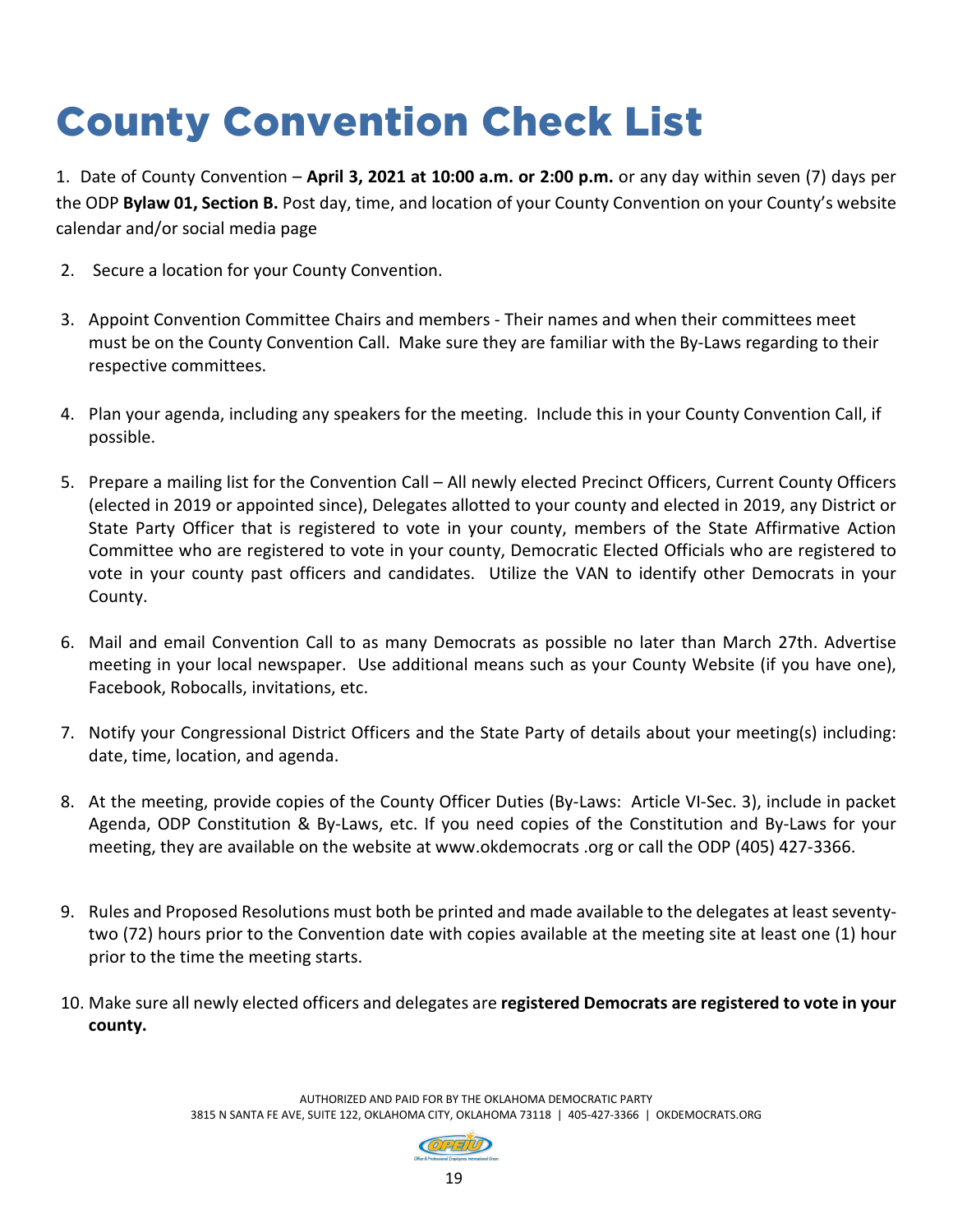# County Convention Check List

1. Date of County Convention – **April 3, 2021 at 10:00 a.m. or 2:00 p.m.** or any day within seven (7) days per the ODP **Bylaw 01, Section B.** Post day, time, and location of your County Convention on your County's website calendar and/or social media page

- 2. Secure a location for your County Convention.
- 3. Appoint Convention Committee Chairs and members Their names and when their committees meet must be on the County Convention Call. Make sure they are familiar with the By-Laws regarding to their respective committees.
- 4. Plan your agenda, including any speakers for the meeting. Include this in your County Convention Call, if possible.
- 5. Prepare a mailing list for the Convention Call All newly elected Precinct Officers, Current County Officers (elected in 2019 or appointed since), Delegates allotted to your county and elected in 2019, any District or State Party Officer that is registered to vote in your county, members of the State Affirmative Action Committee who are registered to vote in your county, Democratic Elected Officials who are registered to vote in your county past officers and candidates. Utilize the VAN to identify other Democrats in your County.
- 6. Mail and email Convention Call to as many Democrats as possible no later than March 27th. Advertise meeting in your local newspaper. Use additional means such as your County Website (if you have one), Facebook, Robocalls, invitations, etc.
- 7. Notify your Congressional District Officers and the State Party of details about your meeting(s) including: date, time, location, and agenda.
- 8. At the meeting, provide copies of the County Officer Duties (By-Laws: Article VI-Sec. 3), include in packet Agenda, ODP Constitution & By-Laws, etc. If you need copies of the Constitution and By-Laws for your meeting, they are available on the website at www.okdemocrats .org or call the ODP (405) 427-3366.
- 9. Rules and Proposed Resolutions must both be printed and made available to the delegates at least seventytwo (72) hours prior to the Convention date with copies available at the meeting site at least one (1) hour prior to the time the meeting starts.
- 10. Make sure all newly elected officers and delegates are **registered Democrats are registered to vote in your county.**

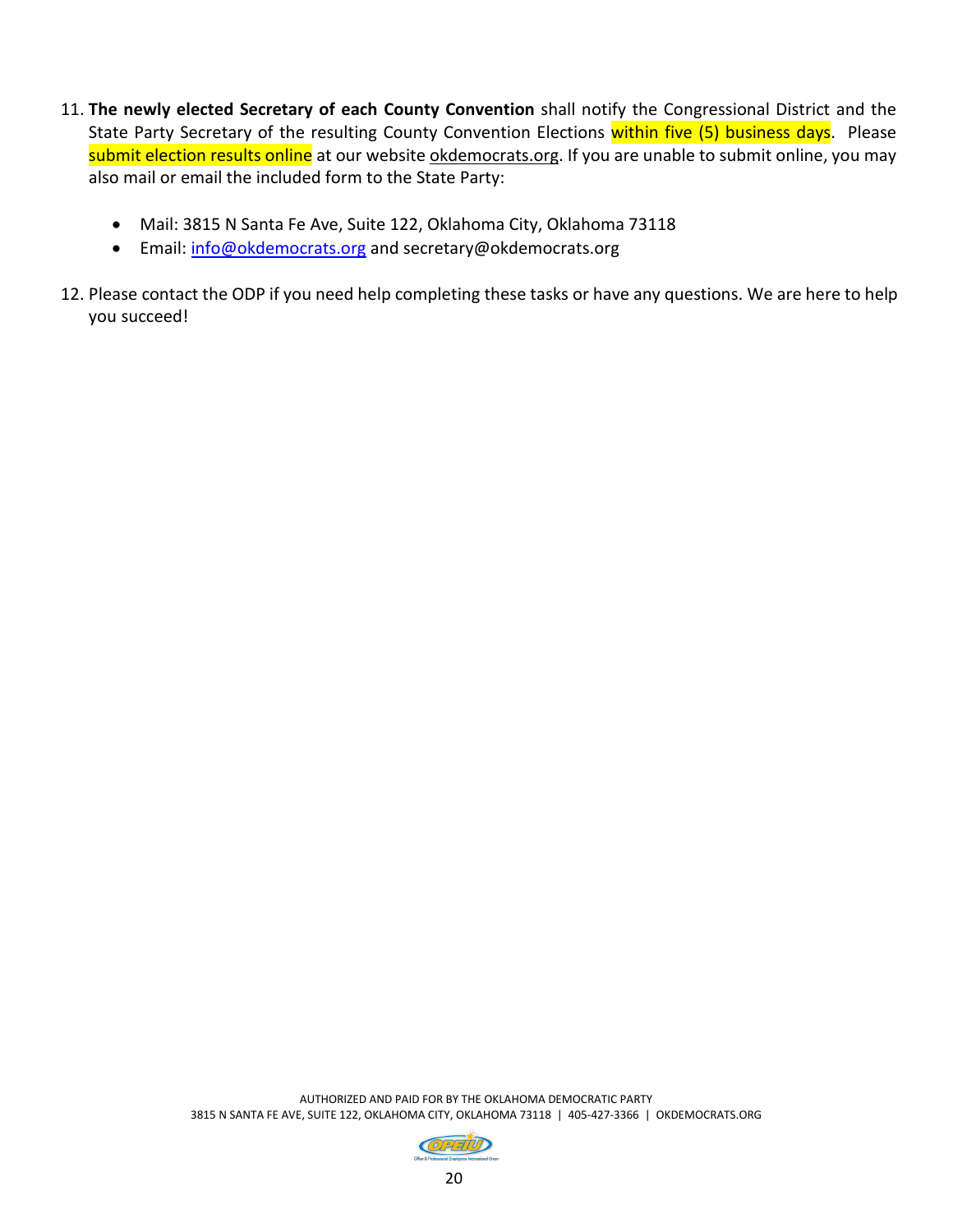- 11. **The newly elected Secretary of each County Convention** shall notify the Congressional District and the State Party Secretary of the resulting County Convention Elections within five (5) business days. Please submit election results online at our website okdemocrats.org. If you are unable to submit online, you may also mail or email the included form to the State Party:
	- Mail: 3815 N Santa Fe Ave, Suite 122, Oklahoma City, Oklahoma 73118
	- Email: [info@okdemocrats.org](mailto:info@okdemocrats.org) and secretary@okdemocrats.org
- 12. Please contact the ODP if you need help completing these tasks or have any questions. We are here to help you succeed!

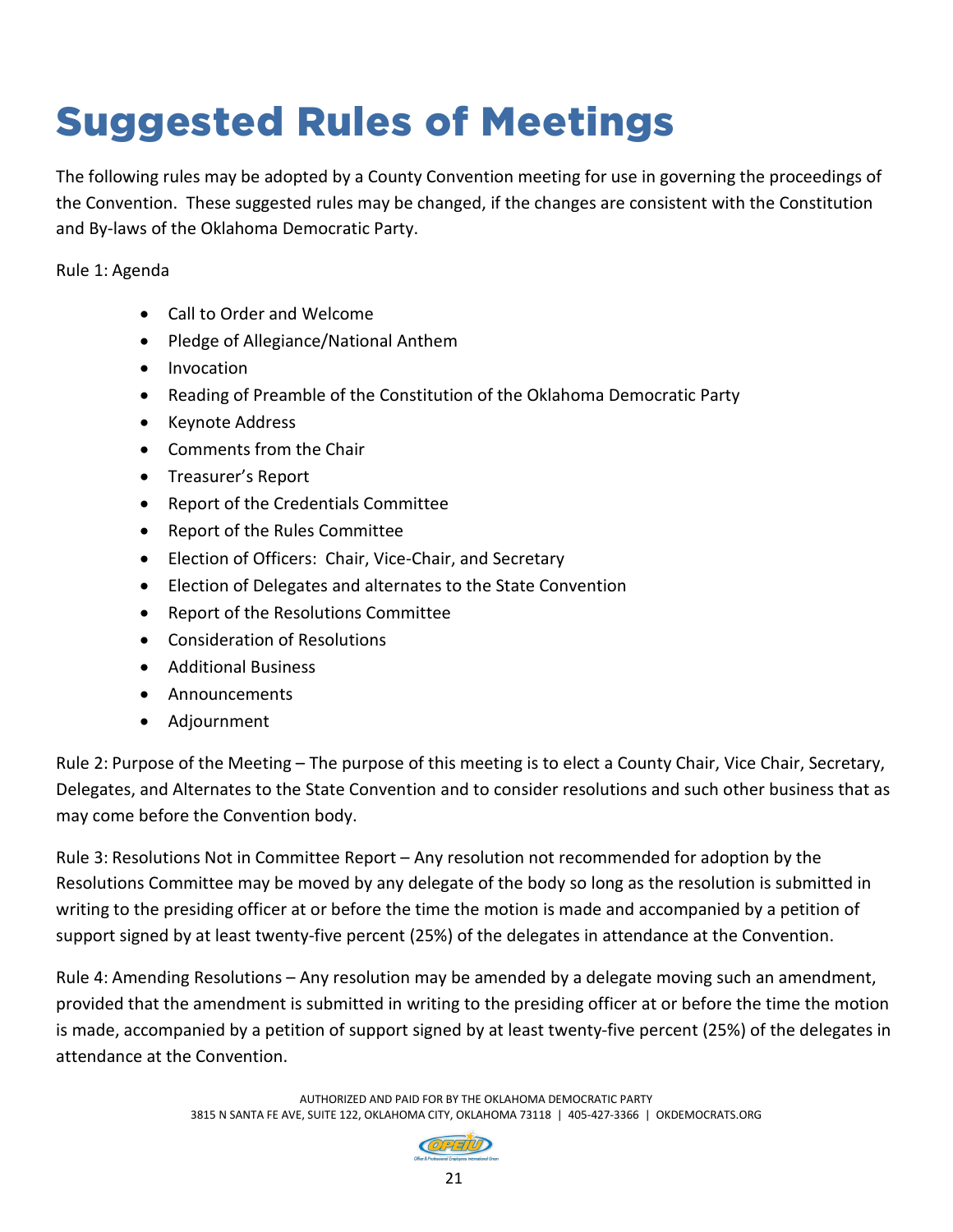# Suggested Rules of Meetings

The following rules may be adopted by a County Convention meeting for use in governing the proceedings of the Convention. These suggested rules may be changed, if the changes are consistent with the Constitution and By-laws of the Oklahoma Democratic Party.

Rule 1: Agenda

- Call to Order and Welcome
- Pledge of Allegiance/National Anthem
- Invocation
- Reading of Preamble of the Constitution of the Oklahoma Democratic Party
- Keynote Address
- Comments from the Chair
- Treasurer's Report
- Report of the Credentials Committee
- Report of the Rules Committee
- Election of Officers: Chair, Vice-Chair, and Secretary
- Election of Delegates and alternates to the State Convention
- Report of the Resolutions Committee
- Consideration of Resolutions
- Additional Business
- Announcements
- Adjournment

Rule 2: Purpose of the Meeting – The purpose of this meeting is to elect a County Chair, Vice Chair, Secretary, Delegates, and Alternates to the State Convention and to consider resolutions and such other business that as may come before the Convention body.

Rule 3: Resolutions Not in Committee Report – Any resolution not recommended for adoption by the Resolutions Committee may be moved by any delegate of the body so long as the resolution is submitted in writing to the presiding officer at or before the time the motion is made and accompanied by a petition of support signed by at least twenty-five percent (25%) of the delegates in attendance at the Convention.

Rule 4: Amending Resolutions – Any resolution may be amended by a delegate moving such an amendment, provided that the amendment is submitted in writing to the presiding officer at or before the time the motion is made, accompanied by a petition of support signed by at least twenty-five percent (25%) of the delegates in attendance at the Convention.

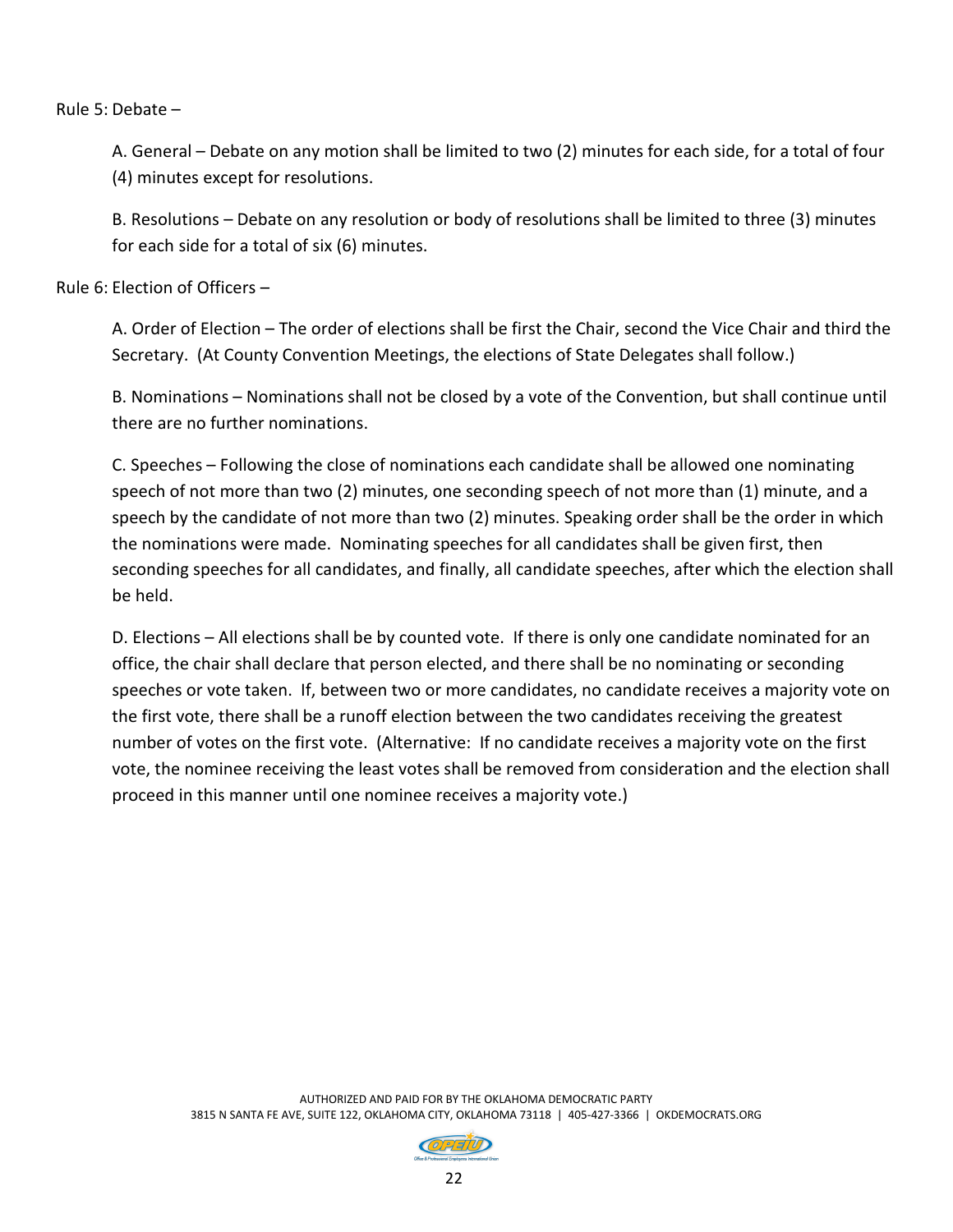Rule 5: Debate –

A. General – Debate on any motion shall be limited to two (2) minutes for each side, for a total of four (4) minutes except for resolutions.

B. Resolutions – Debate on any resolution or body of resolutions shall be limited to three (3) minutes for each side for a total of six (6) minutes.

Rule 6: Election of Officers –

A. Order of Election – The order of elections shall be first the Chair, second the Vice Chair and third the Secretary. (At County Convention Meetings, the elections of State Delegates shall follow.)

B. Nominations – Nominations shall not be closed by a vote of the Convention, but shall continue until there are no further nominations.

C. Speeches – Following the close of nominations each candidate shall be allowed one nominating speech of not more than two (2) minutes, one seconding speech of not more than (1) minute, and a speech by the candidate of not more than two (2) minutes. Speaking order shall be the order in which the nominations were made. Nominating speeches for all candidates shall be given first, then seconding speeches for all candidates, and finally, all candidate speeches, after which the election shall be held.

D. Elections – All elections shall be by counted vote. If there is only one candidate nominated for an office, the chair shall declare that person elected, and there shall be no nominating or seconding speeches or vote taken. If, between two or more candidates, no candidate receives a majority vote on the first vote, there shall be a runoff election between the two candidates receiving the greatest number of votes on the first vote. (Alternative: If no candidate receives a majority vote on the first vote, the nominee receiving the least votes shall be removed from consideration and the election shall proceed in this manner until one nominee receives a majority vote.)

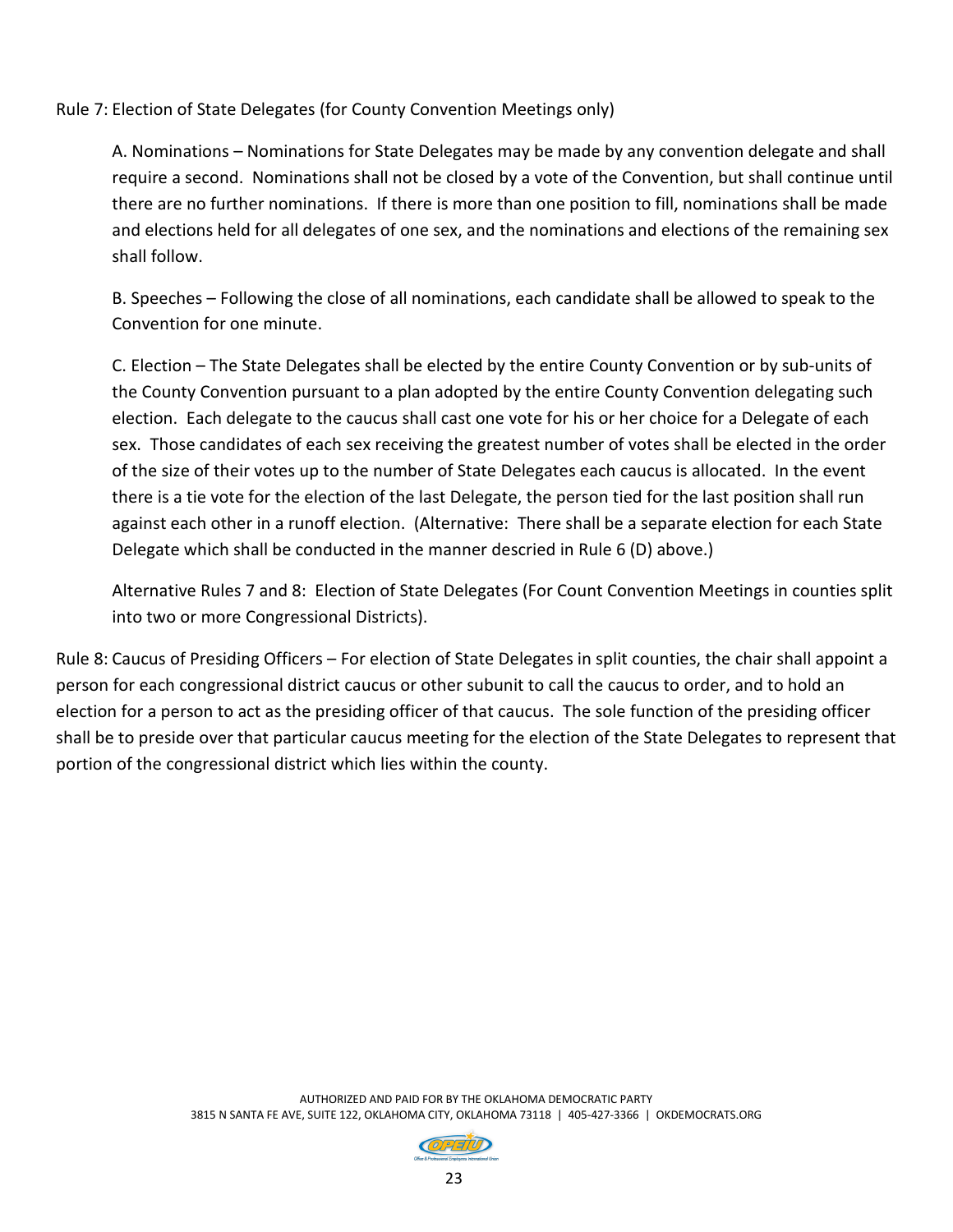Rule 7: Election of State Delegates (for County Convention Meetings only)

A. Nominations – Nominations for State Delegates may be made by any convention delegate and shall require a second. Nominations shall not be closed by a vote of the Convention, but shall continue until there are no further nominations. If there is more than one position to fill, nominations shall be made and elections held for all delegates of one sex, and the nominations and elections of the remaining sex shall follow.

B. Speeches – Following the close of all nominations, each candidate shall be allowed to speak to the Convention for one minute.

C. Election – The State Delegates shall be elected by the entire County Convention or by sub-units of the County Convention pursuant to a plan adopted by the entire County Convention delegating such election. Each delegate to the caucus shall cast one vote for his or her choice for a Delegate of each sex. Those candidates of each sex receiving the greatest number of votes shall be elected in the order of the size of their votes up to the number of State Delegates each caucus is allocated. In the event there is a tie vote for the election of the last Delegate, the person tied for the last position shall run against each other in a runoff election. (Alternative: There shall be a separate election for each State Delegate which shall be conducted in the manner descried in Rule 6 (D) above.)

Alternative Rules 7 and 8: Election of State Delegates (For Count Convention Meetings in counties split into two or more Congressional Districts).

Rule 8: Caucus of Presiding Officers – For election of State Delegates in split counties, the chair shall appoint a person for each congressional district caucus or other subunit to call the caucus to order, and to hold an election for a person to act as the presiding officer of that caucus. The sole function of the presiding officer shall be to preside over that particular caucus meeting for the election of the State Delegates to represent that portion of the congressional district which lies within the county.

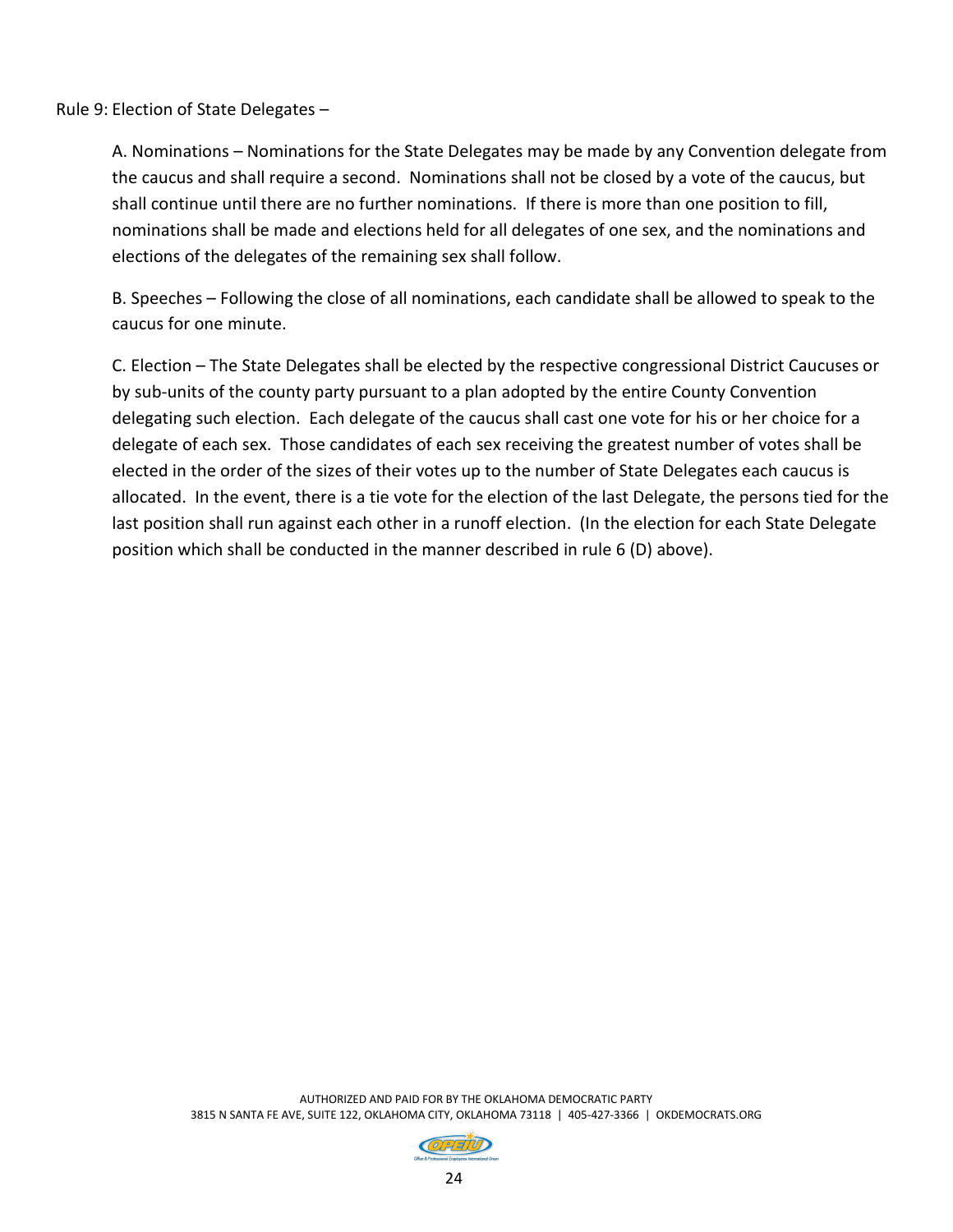Rule 9: Election of State Delegates –

A. Nominations – Nominations for the State Delegates may be made by any Convention delegate from the caucus and shall require a second. Nominations shall not be closed by a vote of the caucus, but shall continue until there are no further nominations. If there is more than one position to fill, nominations shall be made and elections held for all delegates of one sex, and the nominations and elections of the delegates of the remaining sex shall follow.

B. Speeches – Following the close of all nominations, each candidate shall be allowed to speak to the caucus for one minute.

C. Election – The State Delegates shall be elected by the respective congressional District Caucuses or by sub-units of the county party pursuant to a plan adopted by the entire County Convention delegating such election. Each delegate of the caucus shall cast one vote for his or her choice for a delegate of each sex. Those candidates of each sex receiving the greatest number of votes shall be elected in the order of the sizes of their votes up to the number of State Delegates each caucus is allocated. In the event, there is a tie vote for the election of the last Delegate, the persons tied for the last position shall run against each other in a runoff election. (In the election for each State Delegate position which shall be conducted in the manner described in rule 6 (D) above).

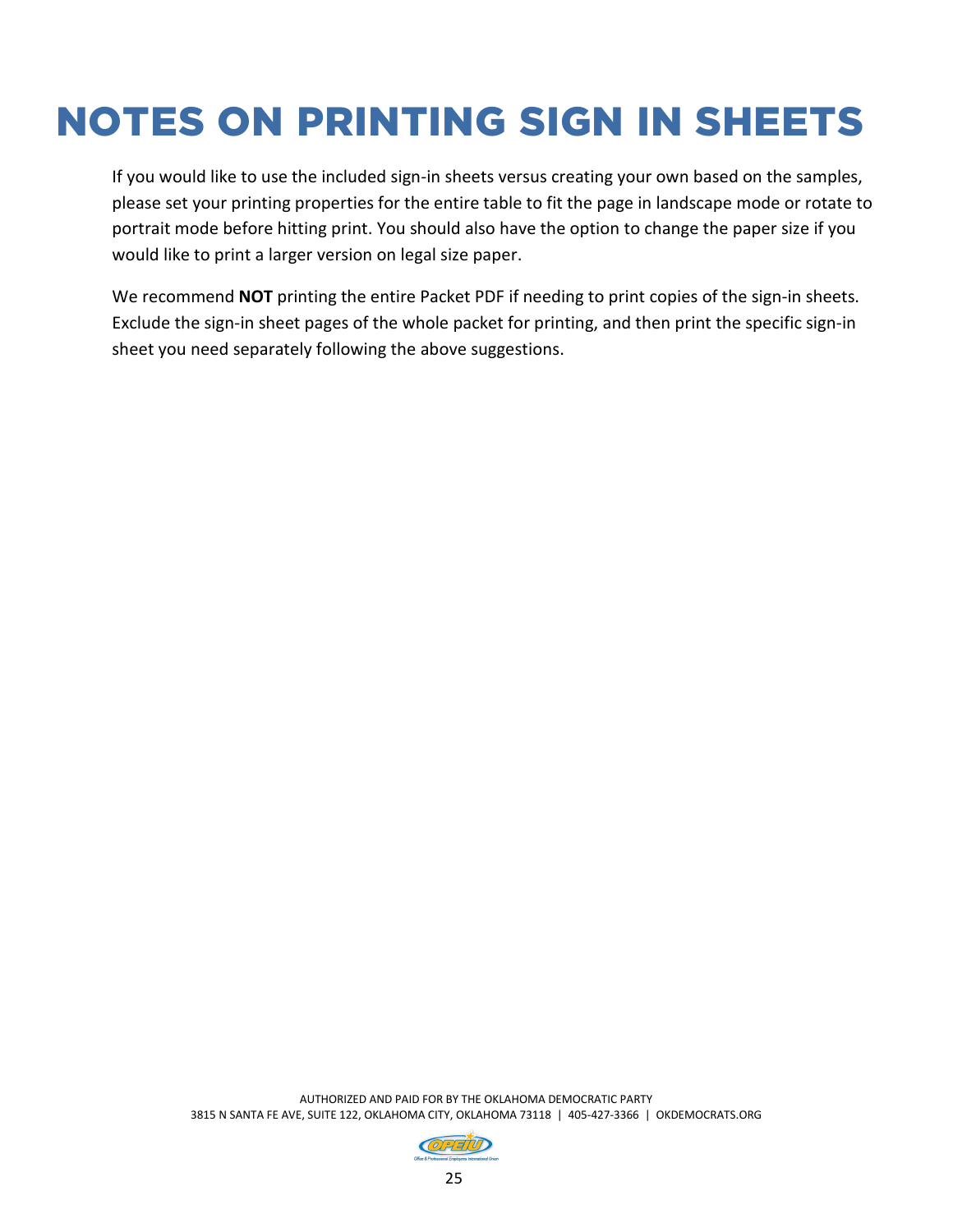## NOTES ON PRINTING SIGN IN SHEETS

If you would like to use the included sign-in sheets versus creating your own based on the samples, please set your printing properties for the entire table to fit the page in landscape mode or rotate to portrait mode before hitting print. You should also have the option to change the paper size if you would like to print a larger version on legal size paper.

We recommend **NOT** printing the entire Packet PDF if needing to print copies of the sign-in sheets. Exclude the sign-in sheet pages of the whole packet for printing, and then print the specific sign-in sheet you need separately following the above suggestions.

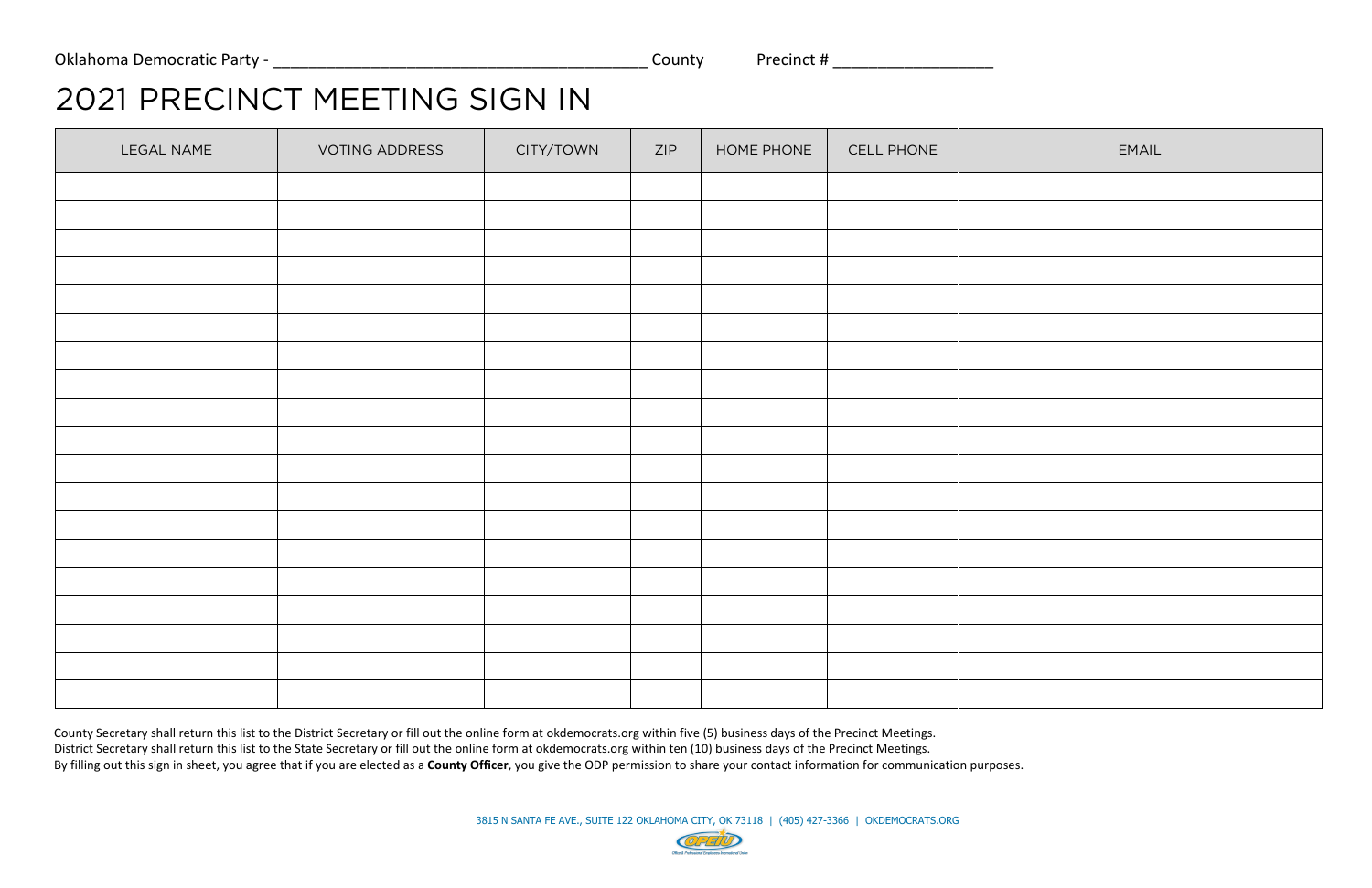## 2021 PRECINCT MEETING SIGN IN

| LEGAL NAME | <b>VOTING ADDRESS</b> | CITY/TOWN | ZIP | HOME PHONE | CELL PHONE | EMAIL |
|------------|-----------------------|-----------|-----|------------|------------|-------|
|            |                       |           |     |            |            |       |
|            |                       |           |     |            |            |       |
|            |                       |           |     |            |            |       |
|            |                       |           |     |            |            |       |
|            |                       |           |     |            |            |       |
|            |                       |           |     |            |            |       |
|            |                       |           |     |            |            |       |
|            |                       |           |     |            |            |       |
|            |                       |           |     |            |            |       |
|            |                       |           |     |            |            |       |
|            |                       |           |     |            |            |       |
|            |                       |           |     |            |            |       |
|            |                       |           |     |            |            |       |
|            |                       |           |     |            |            |       |
|            |                       |           |     |            |            |       |
|            |                       |           |     |            |            |       |
|            |                       |           |     |            |            |       |
|            |                       |           |     |            |            |       |
|            |                       |           |     |            |            |       |

County Secretary shall return this list to the District Secretary or fill out the online form at okdemocrats.org within five (5) business days of the Precinct Meetings. District Secretary shall return this list to the State Secretary or fill out the online form at okdemocrats.org within ten (10) business days of the Precinct Meetings. By filling out this sign in sheet, you agree that if you are elected as a **County Officer**, you give the ODP permission to share your contact information for communication purposes.

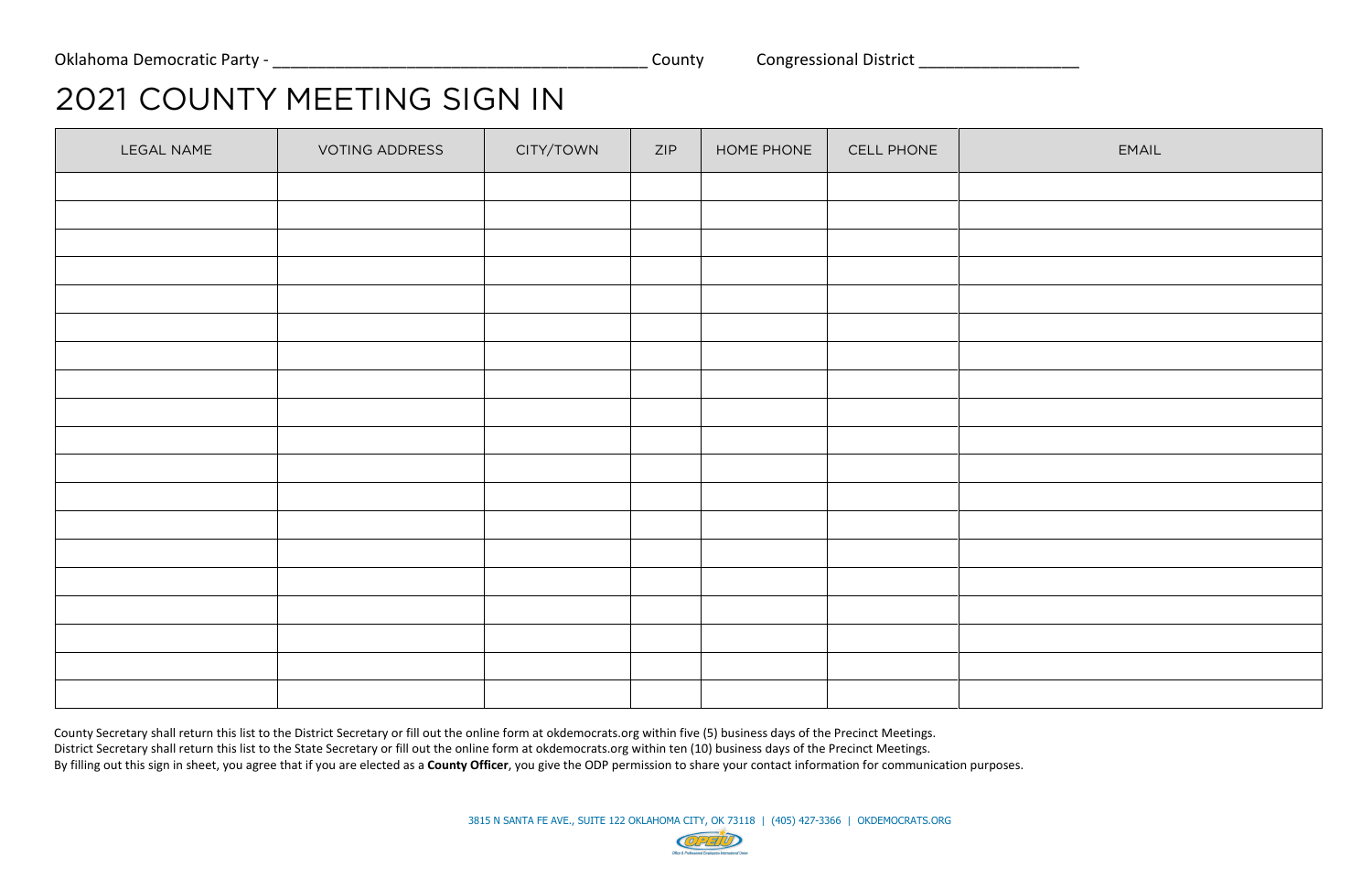# 2021 COUNTY MEETING SIGN IN

| LEGAL NAME | VOTING ADDRESS | CITY/TOWN | ZIP | HOME PHONE | CELL PHONE | <b>EMAIL</b> |
|------------|----------------|-----------|-----|------------|------------|--------------|
|            |                |           |     |            |            |              |
|            |                |           |     |            |            |              |
|            |                |           |     |            |            |              |
|            |                |           |     |            |            |              |
|            |                |           |     |            |            |              |
|            |                |           |     |            |            |              |
|            |                |           |     |            |            |              |
|            |                |           |     |            |            |              |
|            |                |           |     |            |            |              |
|            |                |           |     |            |            |              |
|            |                |           |     |            |            |              |
|            |                |           |     |            |            |              |
|            |                |           |     |            |            |              |
|            |                |           |     |            |            |              |
|            |                |           |     |            |            |              |
|            |                |           |     |            |            |              |
|            |                |           |     |            |            |              |
|            |                |           |     |            |            |              |
|            |                |           |     |            |            |              |

County Secretary shall return this list to the District Secretary or fill out the online form at okdemocrats.org within five (5) business days of the Precinct Meetings. District Secretary shall return this list to the State Secretary or fill out the online form at okdemocrats.org within ten (10) business days of the Precinct Meetings. By filling out this sign in sheet, you agree that if you are elected as a **County Officer**, you give the ODP permission to share your contact information for communication purposes.



| <b>EMAIL</b> |
|--------------|
|              |
|              |
|              |
|              |
|              |
|              |
|              |
|              |
|              |
|              |
|              |
|              |
|              |
|              |
|              |
|              |
|              |
|              |
|              |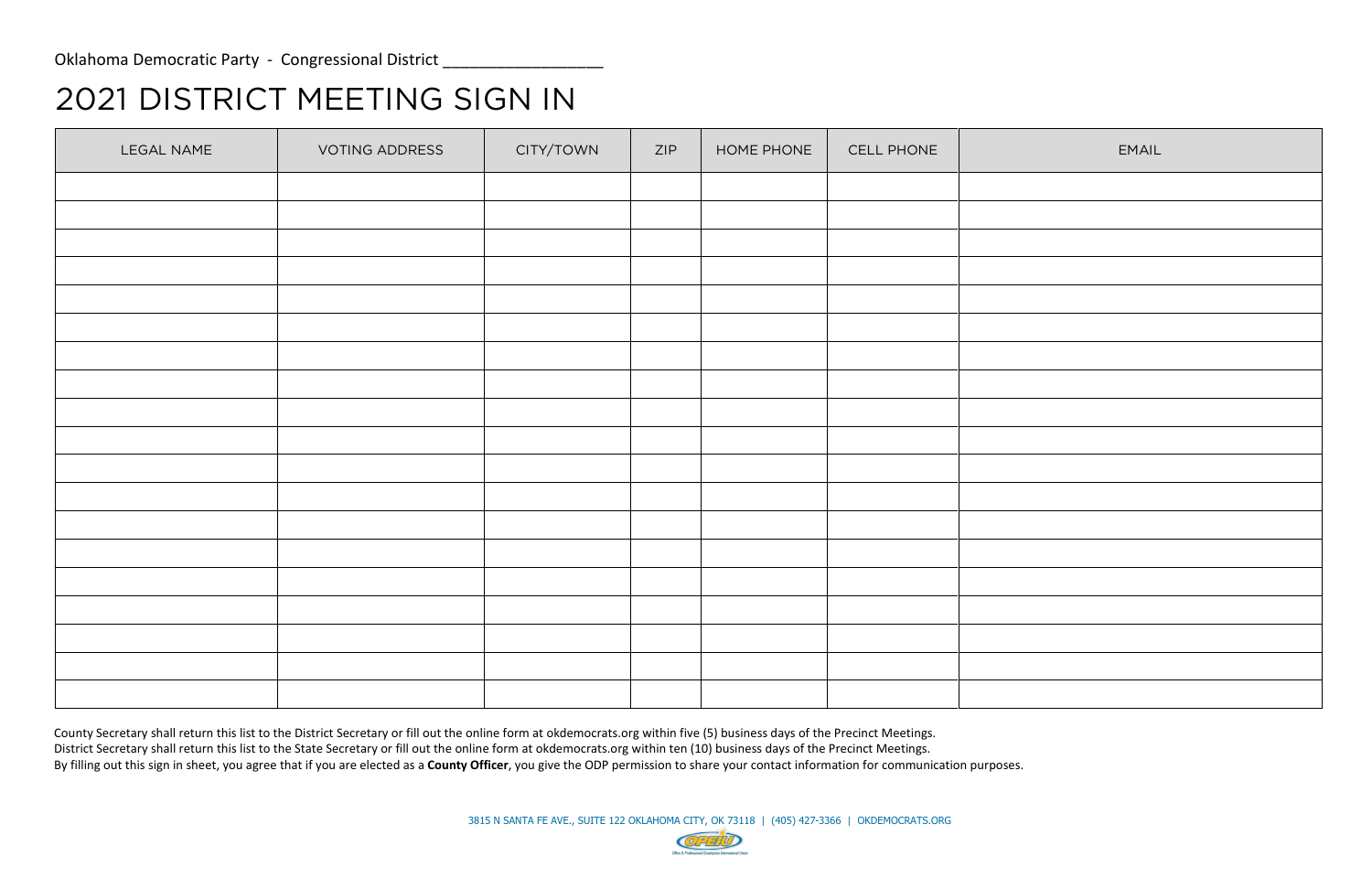# 2021 DISTRICT MEETING SIGN IN

| LEGAL NAME | VOTING ADDRESS | CITY/TOWN | ZIP | HOME PHONE | CELL PHONE | EMAIL |
|------------|----------------|-----------|-----|------------|------------|-------|
|            |                |           |     |            |            |       |
|            |                |           |     |            |            |       |
|            |                |           |     |            |            |       |
|            |                |           |     |            |            |       |
|            |                |           |     |            |            |       |
|            |                |           |     |            |            |       |
|            |                |           |     |            |            |       |
|            |                |           |     |            |            |       |
|            |                |           |     |            |            |       |
|            |                |           |     |            |            |       |
|            |                |           |     |            |            |       |
|            |                |           |     |            |            |       |
|            |                |           |     |            |            |       |
|            |                |           |     |            |            |       |
|            |                |           |     |            |            |       |
|            |                |           |     |            |            |       |
|            |                |           |     |            |            |       |
|            |                |           |     |            |            |       |
|            |                |           |     |            |            |       |

County Secretary shall return this list to the District Secretary or fill out the online form at okdemocrats.org within five (5) business days of the Precinct Meetings. District Secretary shall return this list to the State Secretary or fill out the online form at okdemocrats.org within ten (10) business days of the Precinct Meetings. By filling out this sign in sheet, you agree that if you are elected as a **County Officer**, you give the ODP permission to share your contact information for communication purposes.

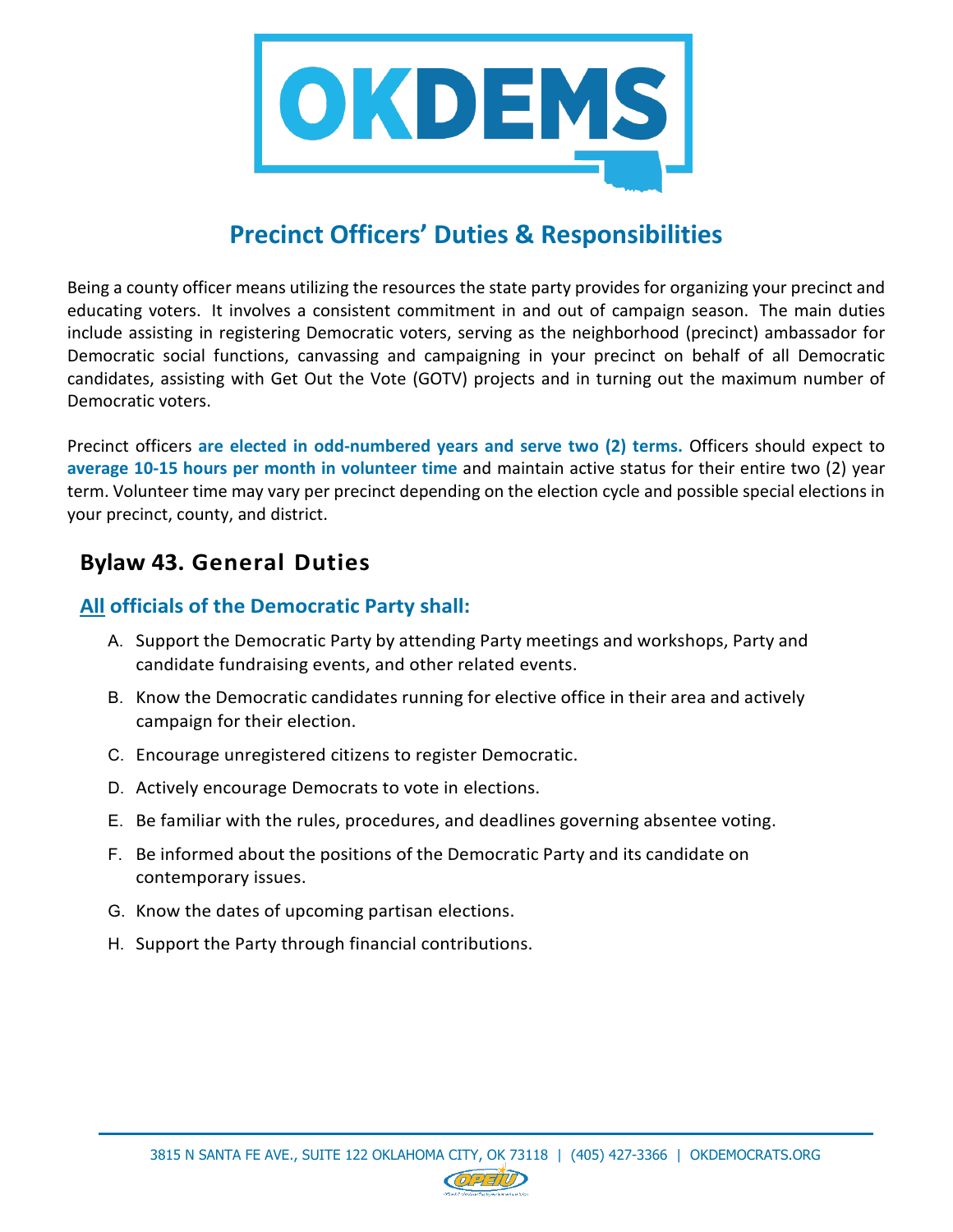

## **Precinct Officers' Duties & Responsibilities**

Being a county officer means utilizing the resources the state party provides for organizing your precinct and educating voters. It involves a consistent commitment in and out of campaign season. The main duties include assisting in registering Democratic voters, serving as the neighborhood (precinct) ambassador for Democratic social functions, canvassing and campaigning in your precinct on behalf of all Democratic candidates, assisting with Get Out the Vote (GOTV) projects and in turning out the maximum number of Democratic voters.

Precinct officers **are elected in odd-numbered years and serve two (2) terms.** Officers should expect to **average 10-15 hours per month in volunteer time** and maintain active status for their entire two (2) year term. Volunteer time may vary per precinct depending on the election cycle and possible special elections in your precinct, county, and district.

## **Bylaw 43. General Duties**

#### **All officials of the Democratic Party shall:**

- A. Support the Democratic Party by attending Party meetings and workshops, Party and candidate fundraising events, and other related events.
- B. Know the Democratic candidates running for elective office in their area and actively campaign for their election.
- C. Encourage unregistered citizens to register Democratic.
- D. Actively encourage Democrats to vote in elections.
- E. Be familiar with the rules, procedures, and deadlines governing absentee voting.
- F. Be informed about the positions of the Democratic Party and its candidate on contemporary issues.
- G. Know the dates of upcoming partisan elections.
- H. Support the Party through financial contributions.

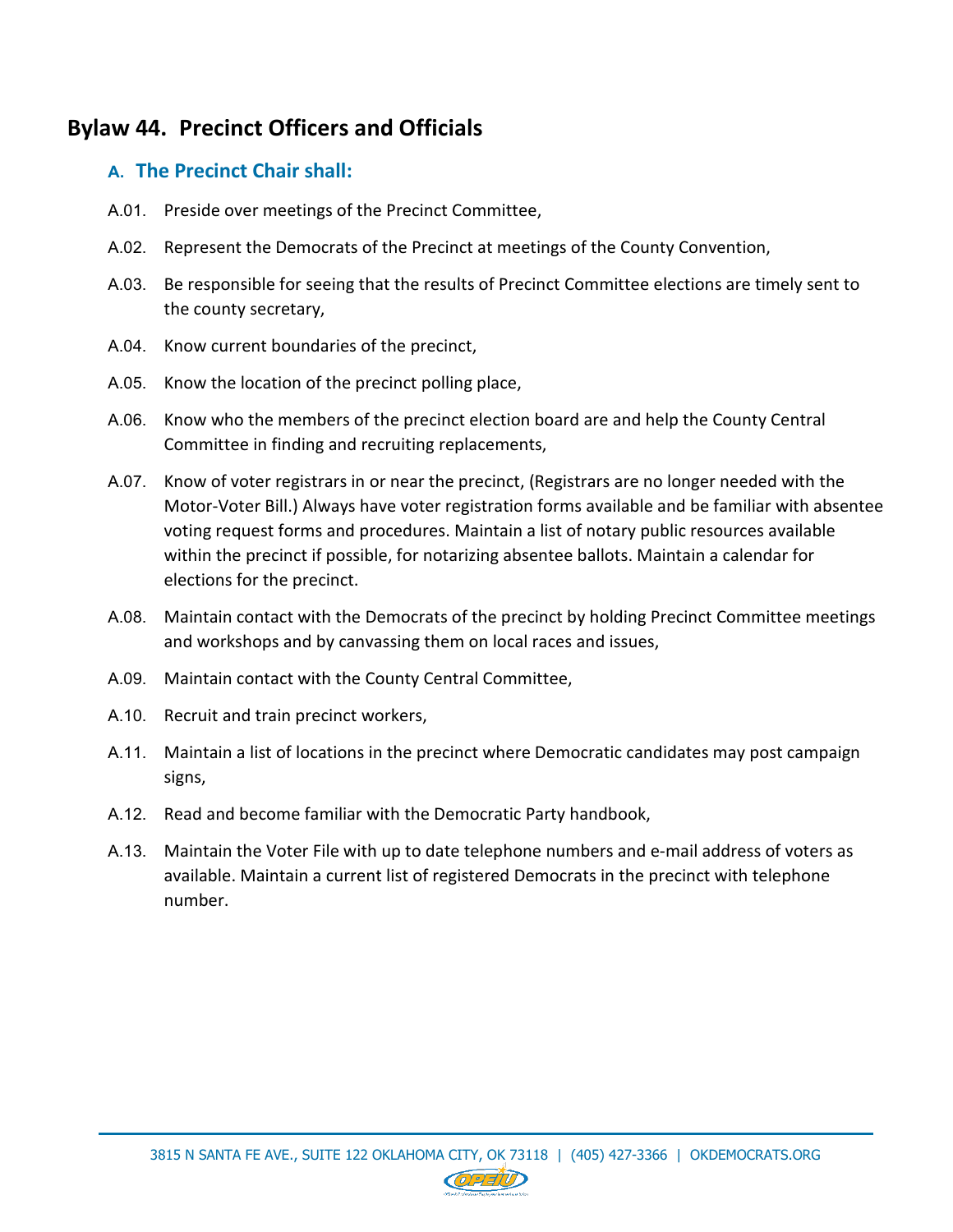## **Bylaw 44. Precinct Officers and Officials**

### **A. The Precinct Chair shall:**

- A.01. Preside over meetings of the Precinct Committee,
- A.02. Represent the Democrats of the Precinct at meetings of the County Convention,
- A.03. Be responsible for seeing that the results of Precinct Committee elections are timely sent to the county secretary,
- A.04. Know current boundaries of the precinct,
- A.05. Know the location of the precinct polling place,
- A.06. Know who the members of the precinct election board are and help the County Central Committee in finding and recruiting replacements,
- A.07. Know of voter registrars in or near the precinct, (Registrars are no longer needed with the Motor-Voter Bill.) Always have voter registration forms available and be familiar with absentee voting request forms and procedures. Maintain a list of notary public resources available within the precinct if possible, for notarizing absentee ballots. Maintain a calendar for elections for the precinct.
- A.08. Maintain contact with the Democrats of the precinct by holding Precinct Committee meetings and workshops and by canvassing them on local races and issues,
- A.09. Maintain contact with the County Central Committee,
- A.10. Recruit and train precinct workers,
- A.11. Maintain a list of locations in the precinct where Democratic candidates may post campaign signs,
- A.12. Read and become familiar with the Democratic Party handbook,
- A.13. Maintain the Voter File with up to date telephone numbers and e-mail address of voters as available. Maintain a current list of registered Democrats in the precinct with telephone number.

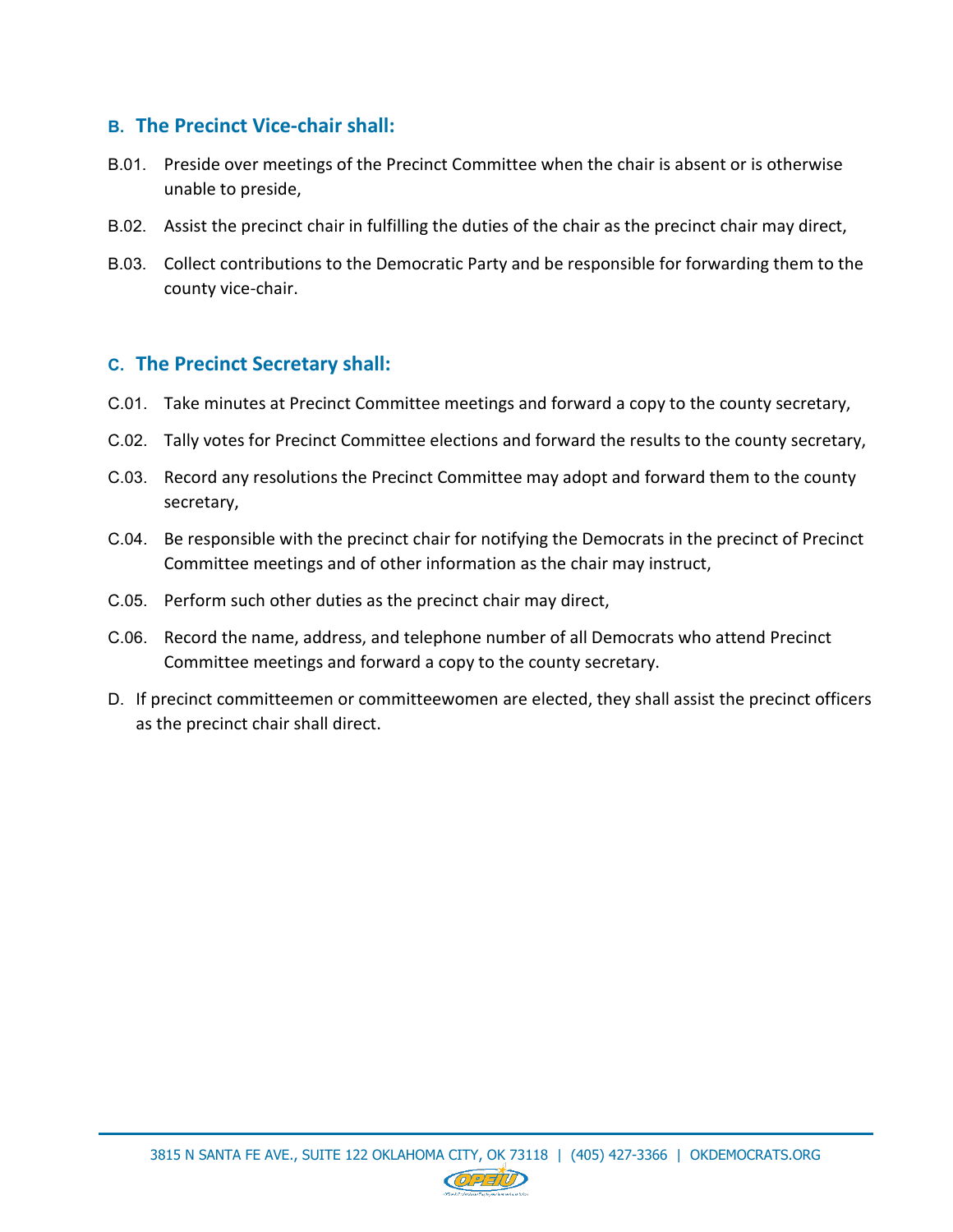#### **B. The Precinct Vice-chair shall:**

- B.01. Preside over meetings of the Precinct Committee when the chair is absent or is otherwise unable to preside,
- B.02. Assist the precinct chair in fulfilling the duties of the chair as the precinct chair may direct,
- B.03. Collect contributions to the Democratic Party and be responsible for forwarding them to the county vice-chair.

#### **C. The Precinct Secretary shall:**

- C.01. Take minutes at Precinct Committee meetings and forward a copy to the county secretary,
- C.02. Tally votes for Precinct Committee elections and forward the results to the county secretary,
- C.03. Record any resolutions the Precinct Committee may adopt and forward them to the county secretary,
- C.04. Be responsible with the precinct chair for notifying the Democrats in the precinct of Precinct Committee meetings and of other information as the chair may instruct,
- C.05. Perform such other duties as the precinct chair may direct,
- C.06. Record the name, address, and telephone number of all Democrats who attend Precinct Committee meetings and forward a copy to the county secretary.
- D. If precinct committeemen or committeewomen are elected, they shall assist the precinct officers as the precinct chair shall direct.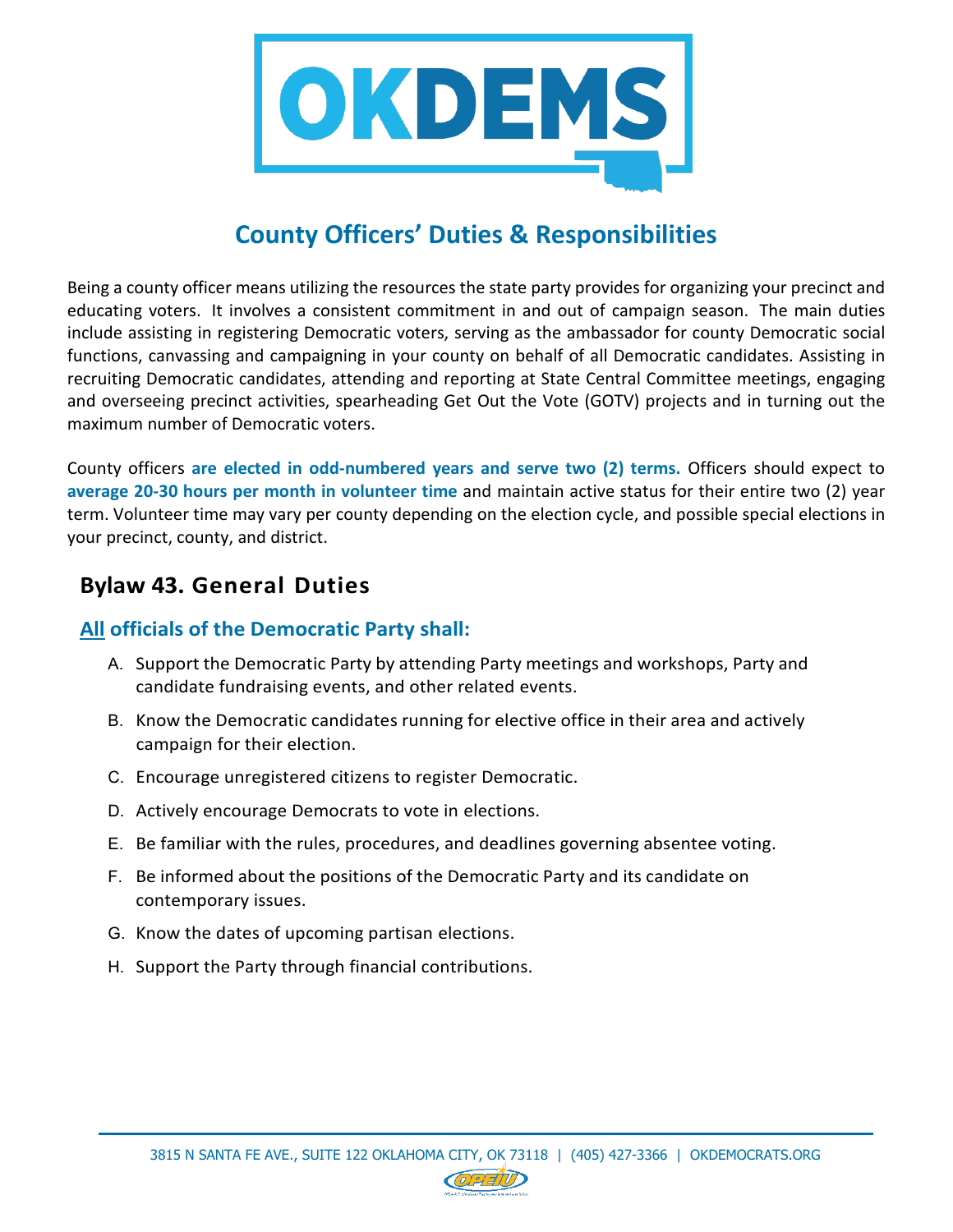

## **County Officers' Duties & Responsibilities**

Being a county officer means utilizing the resources the state party provides for organizing your precinct and educating voters. It involves a consistent commitment in and out of campaign season. The main duties include assisting in registering Democratic voters, serving as the ambassador for county Democratic social functions, canvassing and campaigning in your county on behalf of all Democratic candidates. Assisting in recruiting Democratic candidates, attending and reporting at State Central Committee meetings, engaging and overseeing precinct activities, spearheading Get Out the Vote (GOTV) projects and in turning out the maximum number of Democratic voters.

County officers **are elected in odd-numbered years and serve two (2) terms.** Officers should expect to **average 20-30 hours per month in volunteer time** and maintain active status for their entire two (2) year term. Volunteer time may vary per county depending on the election cycle, and possible special elections in your precinct, county, and district.

## **Bylaw 43. General Duties**

#### **All officials of the Democratic Party shall:**

- A. Support the Democratic Party by attending Party meetings and workshops, Party and candidate fundraising events, and other related events.
- B. Know the Democratic candidates running for elective office in their area and actively campaign for their election.
- C. Encourage unregistered citizens to register Democratic.
- D. Actively encourage Democrats to vote in elections.
- E. Be familiar with the rules, procedures, and deadlines governing absentee voting.
- F. Be informed about the positions of the Democratic Party and its candidate on contemporary issues.
- G. Know the dates of upcoming partisan elections.
- H. Support the Party through financial contributions.

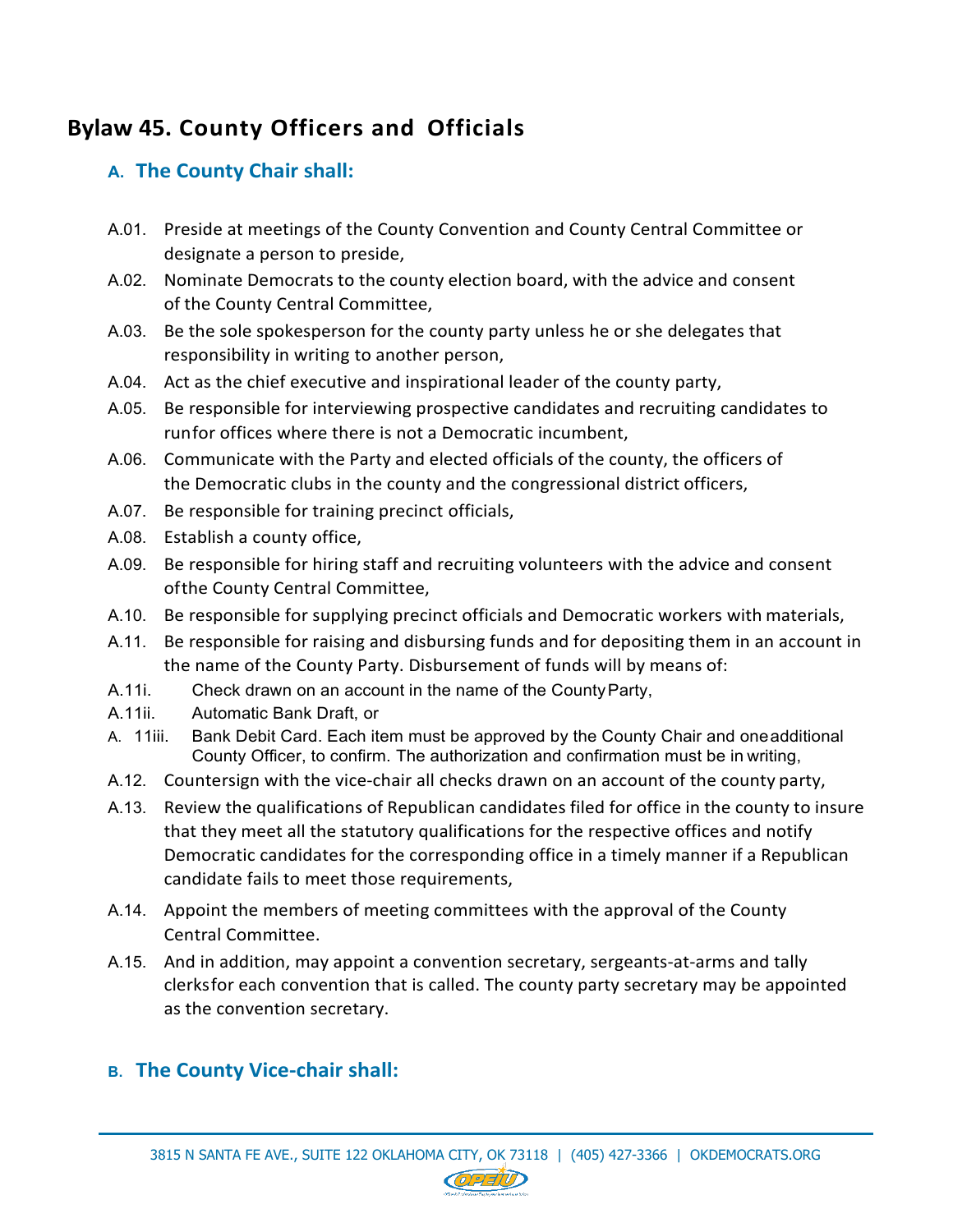## **Bylaw 45. County Officers and Officials**

## **A. The County Chair shall:**

- A.01. Preside at meetings of the County Convention and County Central Committee or designate a person to preside,
- A.02. Nominate Democrats to the county election board, with the advice and consent of the County Central Committee,
- A.03. Be the sole spokesperson for the county party unless he or she delegates that responsibility in writing to another person,
- A.04. Act as the chief executive and inspirational leader of the county party,
- A.05. Be responsible for interviewing prospective candidates and recruiting candidates to runfor offices where there is not a Democratic incumbent,
- A.06. Communicate with the Party and elected officials of the county, the officers of the Democratic clubs in the county and the congressional district officers,
- A.07. Be responsible for training precinct officials,
- A.08. Establish a county office,
- A.09. Be responsible for hiring staff and recruiting volunteers with the advice and consent ofthe County Central Committee,
- A.10. Be responsible for supplying precinct officials and Democratic workers with materials,
- A.11. Be responsible for raising and disbursing funds and for depositing them in an account in the name of the County Party. Disbursement of funds will by means of:
- A.11i. Check drawn on an account in the name of the CountyParty,
- A.11ii. Automatic Bank Draft, or
- A. 11iii. Bank Debit Card. Each item must be approved by the County Chair and oneadditional County Officer, to confirm. The authorization and confirmation must be in writing,
- A.12. Countersign with the vice-chair all checks drawn on an account of the county party,
- A.13. Review the qualifications of Republican candidates filed for office in the county to insure that they meet all the statutory qualifications for the respective offices and notify Democratic candidates for the corresponding office in a timely manner if a Republican candidate fails to meet those requirements,
- A.14. Appoint the members of meeting committees with the approval of the County Central Committee.
- A.15. And in addition, may appoint a convention secretary, sergeants-at-arms and tally clerksfor each convention that is called. The county party secretary may be appointed as the convention secretary.

## **B. The County Vice-chair shall:**

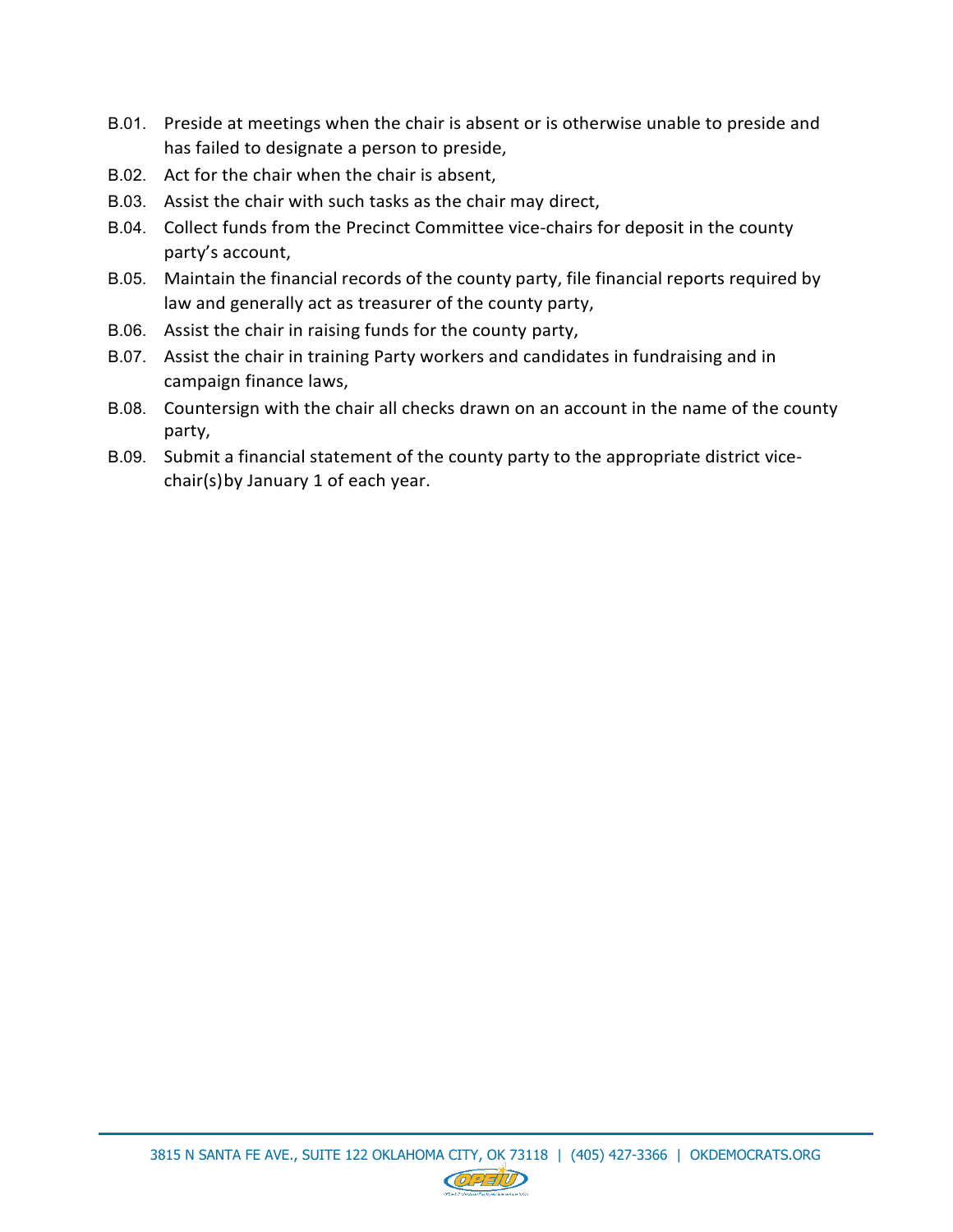- B.01. Preside at meetings when the chair is absent or is otherwise unable to preside and has failed to designate a person to preside,
- B.02. Act for the chair when the chair is absent,
- B.03. Assist the chair with such tasks as the chair may direct,
- B.04. Collect funds from the Precinct Committee vice-chairs for deposit in the county party's account,
- B.05. Maintain the financial records of the county party, file financial reports required by law and generally act as treasurer of the county party,
- B.06. Assist the chair in raising funds for the county party,
- B.07. Assist the chair in training Party workers and candidates in fundraising and in campaign finance laws,
- B.08. Countersign with the chair all checks drawn on an account in the name of the county party,
- B.09. Submit a financial statement of the county party to the appropriate district vicechair(s)by January 1 of each year.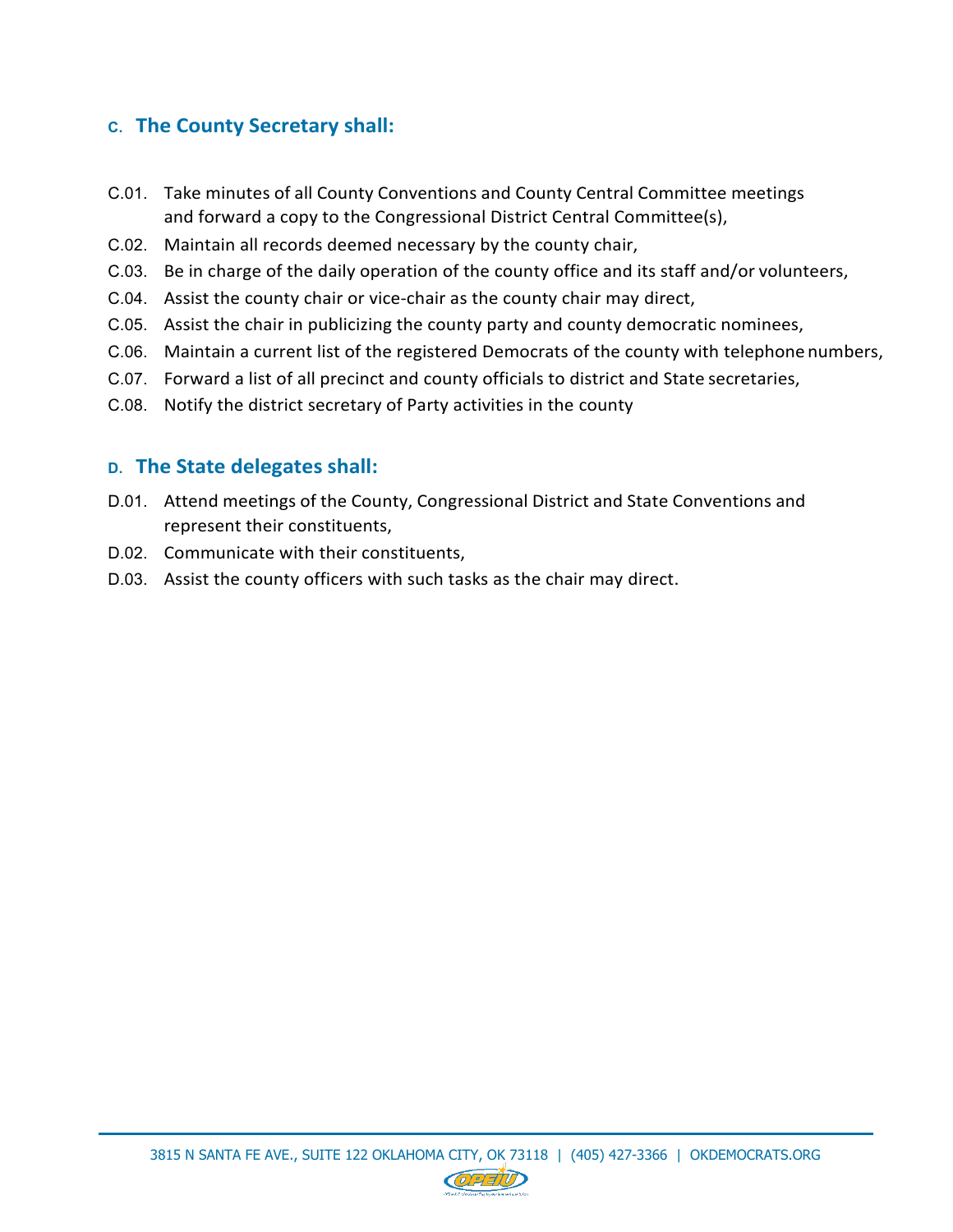### **C. The County Secretary shall:**

- C.01. Take minutes of all County Conventions and County Central Committee meetings and forward a copy to the Congressional District Central Committee(s),
- C.02. Maintain all records deemed necessary by the county chair,
- C.03. Be in charge of the daily operation of the county office and its staff and/or volunteers,
- C.04. Assist the county chair or vice-chair as the county chair may direct,
- C.05. Assist the chair in publicizing the county party and county democratic nominees,
- C.06. Maintain a current list of the registered Democrats of the county with telephone numbers,
- C.07. Forward a list of all precinct and county officials to district and State secretaries,
- C.08. Notify the district secretary of Party activities in the county

#### **D. The State delegates shall:**

- D.01. Attend meetings of the County, Congressional District and State Conventions and represent their constituents,
- D.02. Communicate with their constituents,
- D.03. Assist the county officers with such tasks as the chair may direct.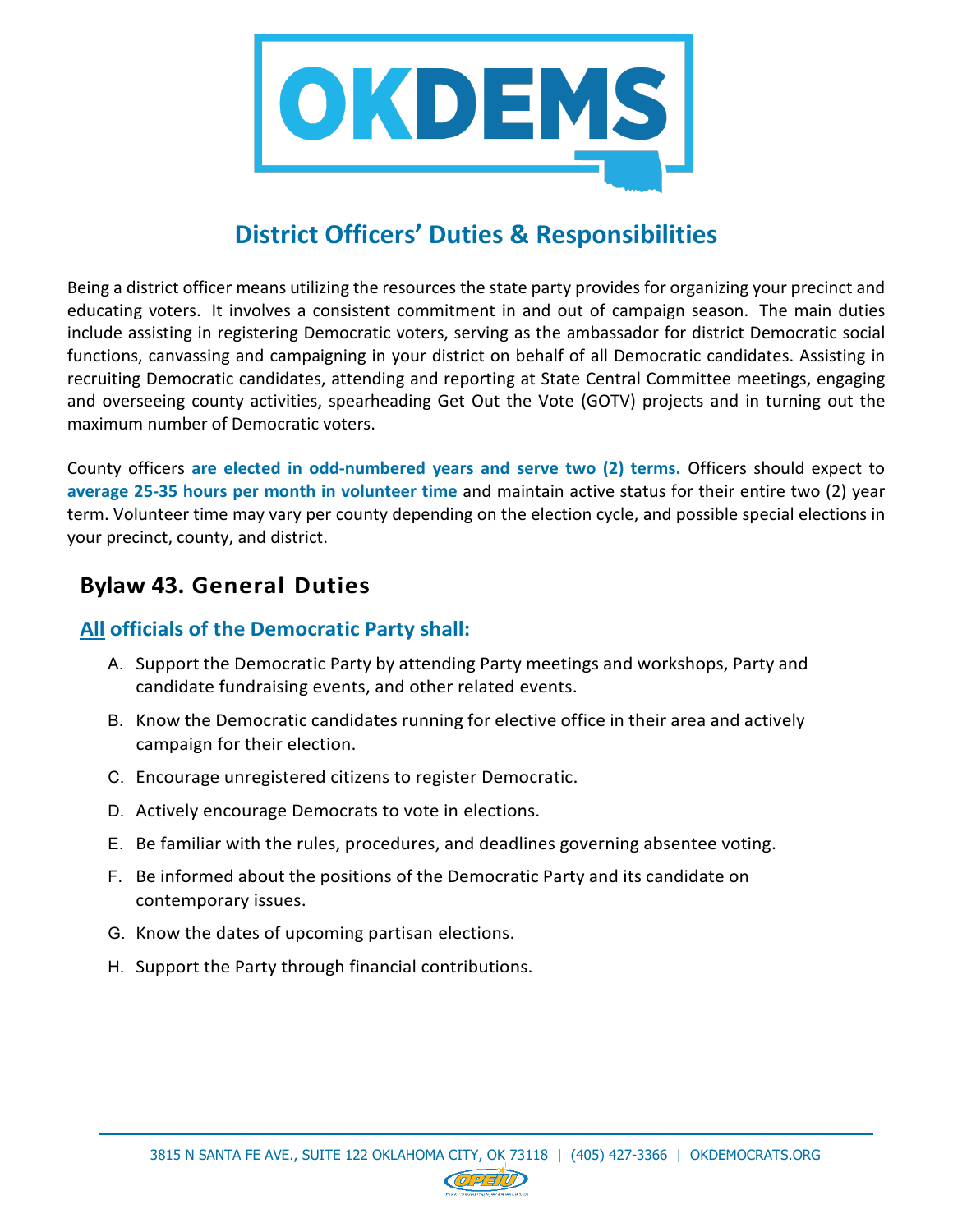

## **District Officers' Duties & Responsibilities**

Being a district officer means utilizing the resources the state party provides for organizing your precinct and educating voters. It involves a consistent commitment in and out of campaign season. The main duties include assisting in registering Democratic voters, serving as the ambassador for district Democratic social functions, canvassing and campaigning in your district on behalf of all Democratic candidates. Assisting in recruiting Democratic candidates, attending and reporting at State Central Committee meetings, engaging and overseeing county activities, spearheading Get Out the Vote (GOTV) projects and in turning out the maximum number of Democratic voters.

County officers **are elected in odd-numbered years and serve two (2) terms.** Officers should expect to **average 25-35 hours per month in volunteer time** and maintain active status for their entire two (2) year term. Volunteer time may vary per county depending on the election cycle, and possible special elections in your precinct, county, and district.

## **Bylaw 43. General Duties**

#### **All officials of the Democratic Party shall:**

- A. Support the Democratic Party by attending Party meetings and workshops, Party and candidate fundraising events, and other related events.
- B. Know the Democratic candidates running for elective office in their area and actively campaign for their election.
- C. Encourage unregistered citizens to register Democratic.
- D. Actively encourage Democrats to vote in elections.
- E. Be familiar with the rules, procedures, and deadlines governing absentee voting.
- F. Be informed about the positions of the Democratic Party and its candidate on contemporary issues.
- G. Know the dates of upcoming partisan elections.
- H. Support the Party through financial contributions.

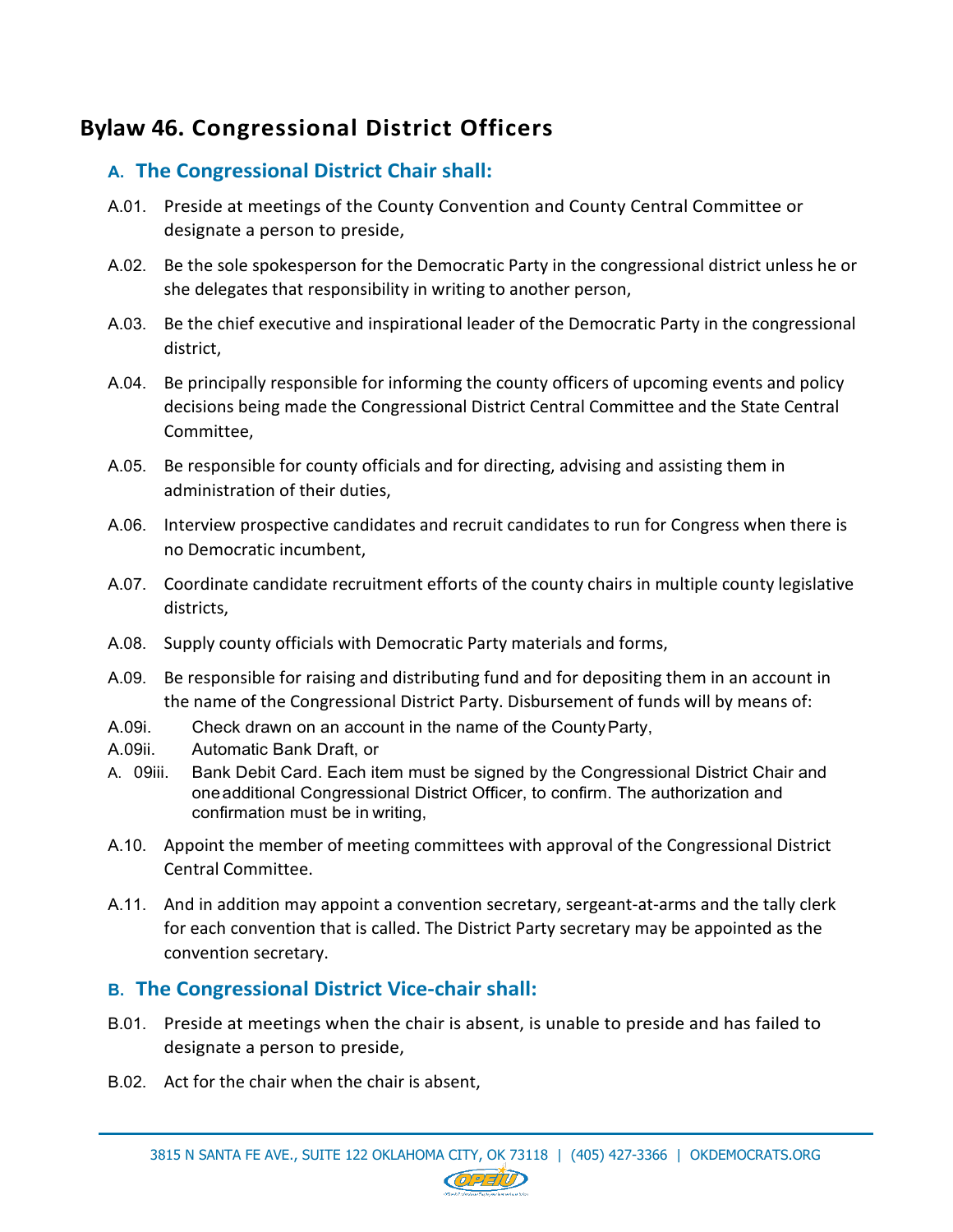## **Bylaw 46. Congressional District Officers**

### **A. The Congressional District Chair shall:**

- A.01. Preside at meetings of the County Convention and County Central Committee or designate a person to preside,
- A.02. Be the sole spokesperson for the Democratic Party in the congressional district unless he or she delegates that responsibility in writing to another person,
- A.03. Be the chief executive and inspirational leader of the Democratic Party in the congressional district,
- A.04. Be principally responsible for informing the county officers of upcoming events and policy decisions being made the Congressional District Central Committee and the State Central Committee,
- A.05. Be responsible for county officials and for directing, advising and assisting them in administration of their duties,
- A.06. Interview prospective candidates and recruit candidates to run for Congress when there is no Democratic incumbent,
- A.07. Coordinate candidate recruitment efforts of the county chairs in multiple county legislative districts,
- A.08. Supply county officials with Democratic Party materials and forms,
- A.09. Be responsible for raising and distributing fund and for depositing them in an account in the name of the Congressional District Party. Disbursement of funds will by means of:
- A.09i. Check drawn on an account in the name of the CountyParty,
- A.09ii. Automatic Bank Draft, or
- A. 09iii. Bank Debit Card. Each item must be signed by the Congressional District Chair and oneadditional Congressional District Officer, to confirm. The authorization and confirmation must be in writing,
- A.10. Appoint the member of meeting committees with approval of the Congressional District Central Committee.
- A.11. And in addition may appoint a convention secretary, sergeant-at-arms and the tally clerk for each convention that is called. The District Party secretary may be appointed as the convention secretary.

### **B. The Congressional District Vice-chair shall:**

- B.01. Preside at meetings when the chair is absent, is unable to preside and has failed to designate a person to preside,
- B.02. Act for the chair when the chair is absent,

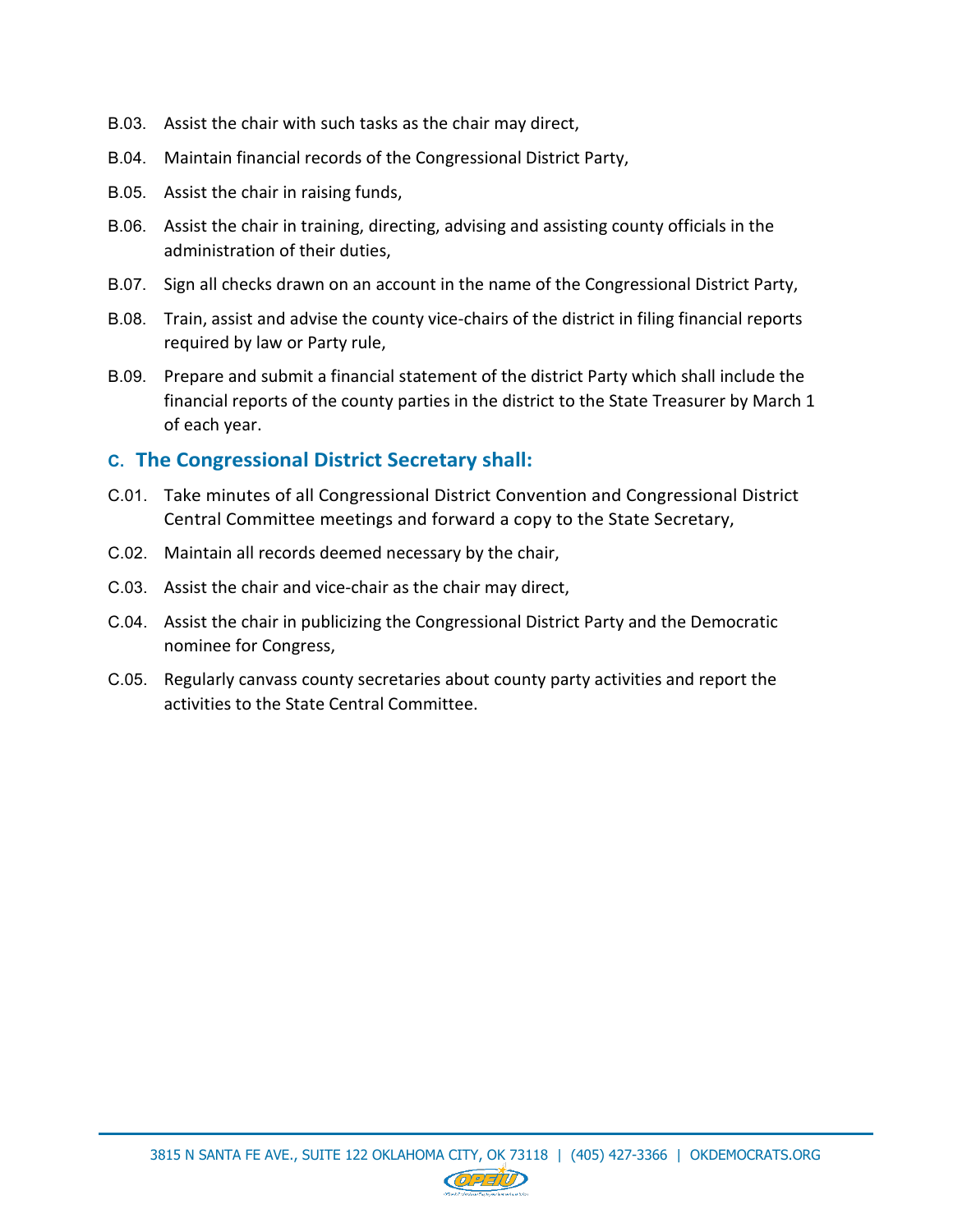- B.03. Assist the chair with such tasks as the chair may direct,
- B.04. Maintain financial records of the Congressional District Party,
- B.05. Assist the chair in raising funds,
- B.06. Assist the chair in training, directing, advising and assisting county officials in the administration of their duties,
- B.07. Sign all checks drawn on an account in the name of the Congressional District Party,
- B.08. Train, assist and advise the county vice-chairs of the district in filing financial reports required by law or Party rule,
- B.09. Prepare and submit a financial statement of the district Party which shall include the financial reports of the county parties in the district to the State Treasurer by March 1 of each year.

#### **C. The Congressional District Secretary shall:**

- C.01. Take minutes of all Congressional District Convention and Congressional District Central Committee meetings and forward a copy to the State Secretary,
- C.02. Maintain all records deemed necessary by the chair,
- C.03. Assist the chair and vice-chair as the chair may direct,
- C.04. Assist the chair in publicizing the Congressional District Party and the Democratic nominee for Congress,
- C.05. Regularly canvass county secretaries about county party activities and report the activities to the State Central Committee.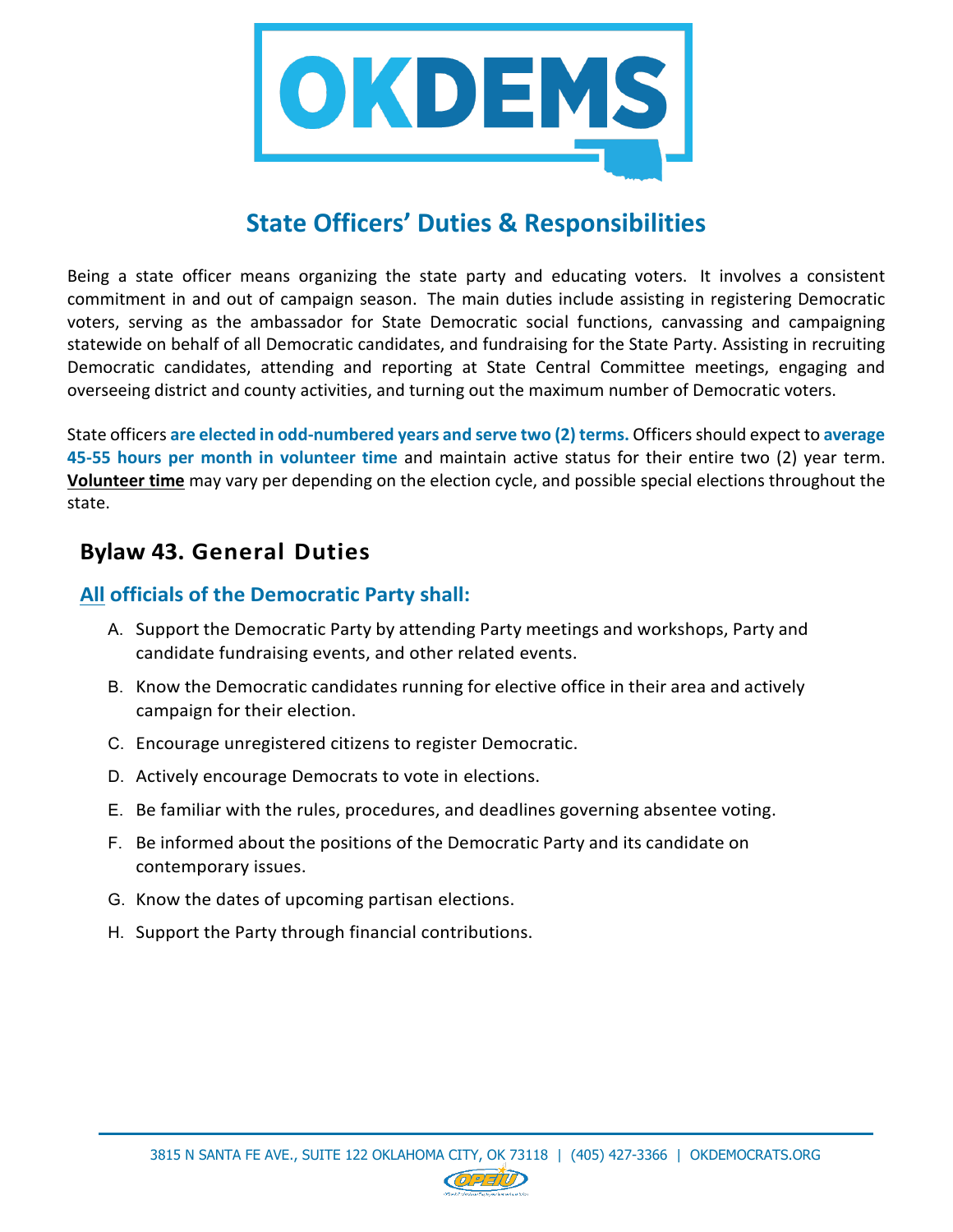

## **State Officers' Duties & Responsibilities**

Being a state officer means organizing the state party and educating voters. It involves a consistent commitment in and out of campaign season. The main duties include assisting in registering Democratic voters, serving as the ambassador for State Democratic social functions, canvassing and campaigning statewide on behalf of all Democratic candidates, and fundraising for the State Party. Assisting in recruiting Democratic candidates, attending and reporting at State Central Committee meetings, engaging and overseeing district and county activities, and turning out the maximum number of Democratic voters.

State officers **are elected in odd-numbered years and serve two (2) terms.** Officers should expect to **average 45-55 hours per month in volunteer time** and maintain active status for their entire two (2) year term. **Volunteer time** may vary per depending on the election cycle, and possible special elections throughout the state.

### **Bylaw 43. General Duties**

#### **All officials of the Democratic Party shall:**

- A. Support the Democratic Party by attending Party meetings and workshops, Party and candidate fundraising events, and other related events.
- B. Know the Democratic candidates running for elective office in their area and actively campaign for their election.
- C. Encourage unregistered citizens to register Democratic.
- D. Actively encourage Democrats to vote in elections.
- E. Be familiar with the rules, procedures, and deadlines governing absentee voting.
- F. Be informed about the positions of the Democratic Party and its candidate on contemporary issues.
- G. Know the dates of upcoming partisan elections.
- H. Support the Party through financial contributions.

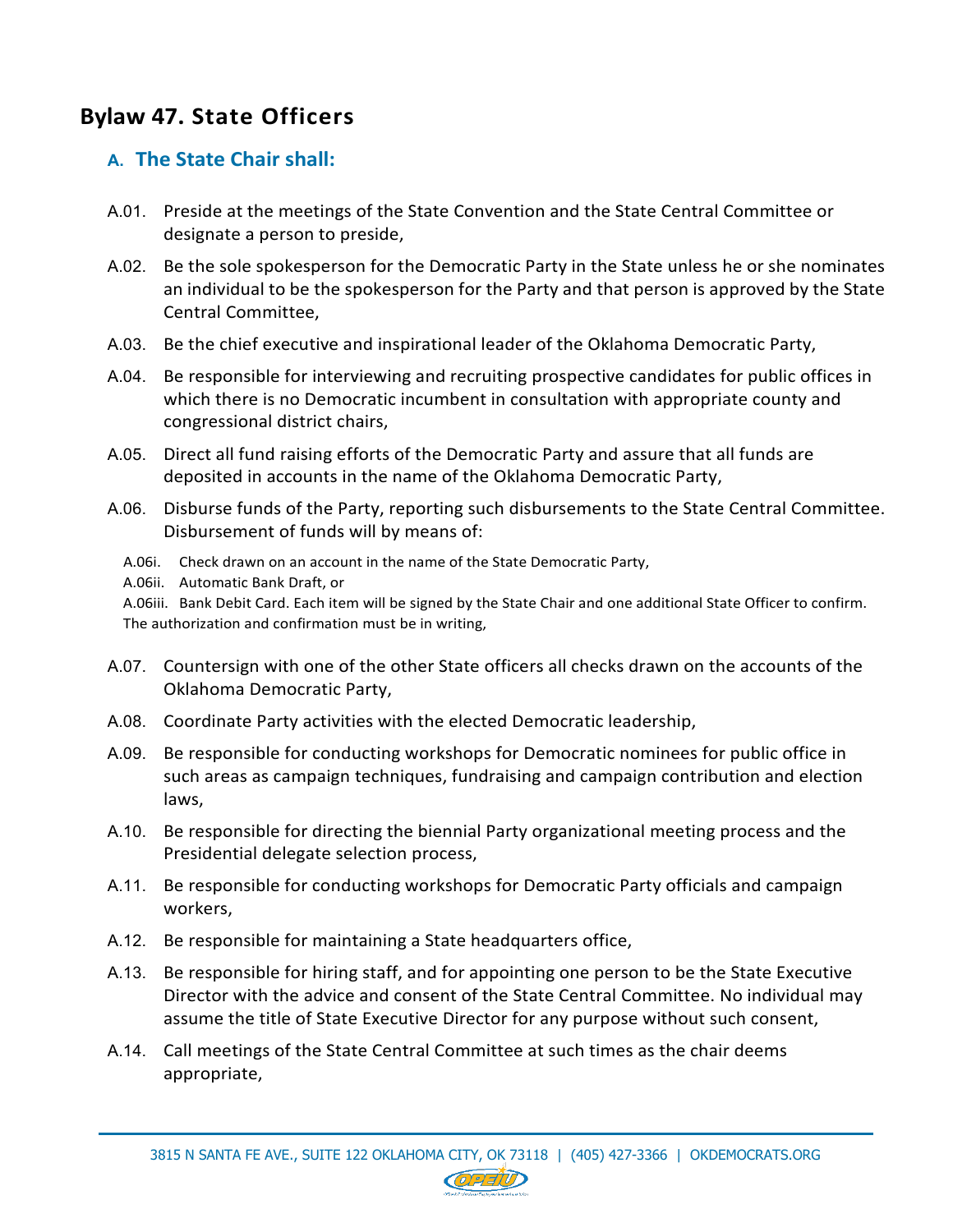## **Bylaw 47. State Officers**

### **A. The State Chair shall:**

- A.01. Preside at the meetings of the State Convention and the State Central Committee or designate a person to preside,
- A.02. Be the sole spokesperson for the Democratic Party in the State unless he or she nominates an individual to be the spokesperson for the Party and that person is approved by the State Central Committee,
- A.03. Be the chief executive and inspirational leader of the Oklahoma Democratic Party,
- A.04. Be responsible for interviewing and recruiting prospective candidates for public offices in which there is no Democratic incumbent in consultation with appropriate county and congressional district chairs,
- A.05. Direct all fund raising efforts of the Democratic Party and assure that all funds are deposited in accounts in the name of the Oklahoma Democratic Party,
- A.06. Disburse funds of the Party, reporting such disbursements to the State Central Committee. Disbursement of funds will by means of:
	- A.06i. Check drawn on an account in the name of the State Democratic Party,
	- A.06ii. Automatic Bank Draft, or
	- A.06iii. Bank Debit Card. Each item will be signed by the State Chair and one additional State Officer to confirm. The authorization and confirmation must be in writing,
- A.07. Countersign with one of the other State officers all checks drawn on the accounts of the Oklahoma Democratic Party,
- A.08. Coordinate Party activities with the elected Democratic leadership,
- A.09. Be responsible for conducting workshops for Democratic nominees for public office in such areas as campaign techniques, fundraising and campaign contribution and election laws,
- A.10. Be responsible for directing the biennial Party organizational meeting process and the Presidential delegate selection process,
- A.11. Be responsible for conducting workshops for Democratic Party officials and campaign workers,
- A.12. Be responsible for maintaining a State headquarters office,
- A.13. Be responsible for hiring staff, and for appointing one person to be the State Executive Director with the advice and consent of the State Central Committee. No individual may assume the title of State Executive Director for any purpose without such consent,
- A.14. Call meetings of the State Central Committee at such times as the chair deems appropriate,

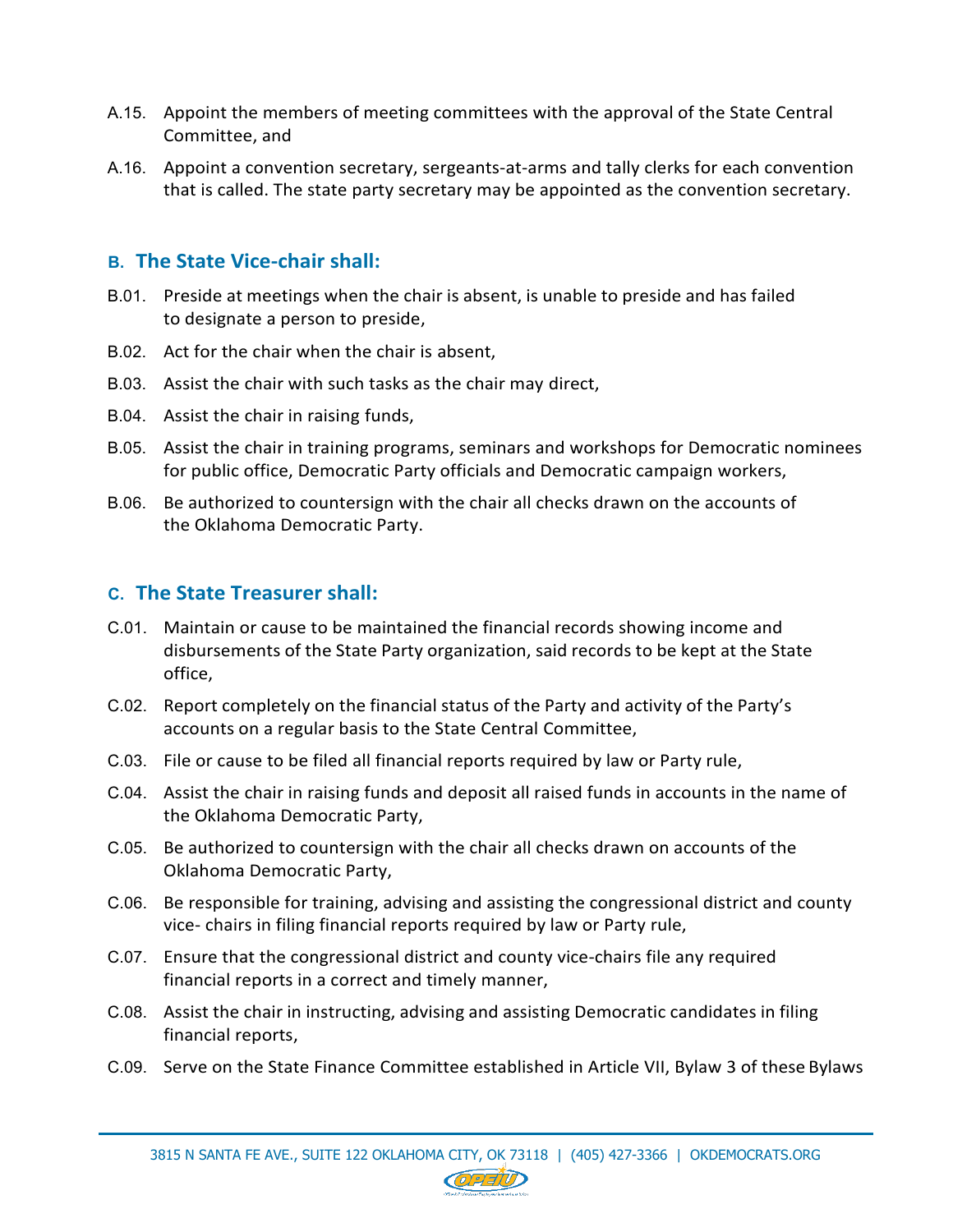- A.15. Appoint the members of meeting committees with the approval of the State Central Committee, and
- A.16. Appoint a convention secretary, sergeants-at-arms and tally clerks for each convention that is called. The state party secretary may be appointed as the convention secretary.

#### **B. The State Vice-chair shall:**

- B.01. Preside at meetings when the chair is absent, is unable to preside and has failed to designate a person to preside,
- B.02. Act for the chair when the chair is absent,
- B.03. Assist the chair with such tasks as the chair may direct,
- B.04. Assist the chair in raising funds,
- B.05. Assist the chair in training programs, seminars and workshops for Democratic nominees for public office, Democratic Party officials and Democratic campaign workers,
- B.06. Be authorized to countersign with the chair all checks drawn on the accounts of the Oklahoma Democratic Party.

#### **C. The State Treasurer shall:**

- C.01. Maintain or cause to be maintained the financial records showing income and disbursements of the State Party organization, said records to be kept at the State office,
- C.02. Report completely on the financial status of the Party and activity of the Party's accounts on a regular basis to the State Central Committee,
- C.03. File or cause to be filed all financial reports required by law or Party rule,
- C.04. Assist the chair in raising funds and deposit all raised funds in accounts in the name of the Oklahoma Democratic Party,
- C.05. Be authorized to countersign with the chair all checks drawn on accounts of the Oklahoma Democratic Party,
- C.06. Be responsible for training, advising and assisting the congressional district and county vice- chairs in filing financial reports required by law or Party rule,
- C.07. Ensure that the congressional district and county vice-chairs file any required financial reports in a correct and timely manner,
- C.08. Assist the chair in instructing, advising and assisting Democratic candidates in filing financial reports,
- C.09. Serve on the State Finance Committee established in Article VII, Bylaw 3 of these Bylaws